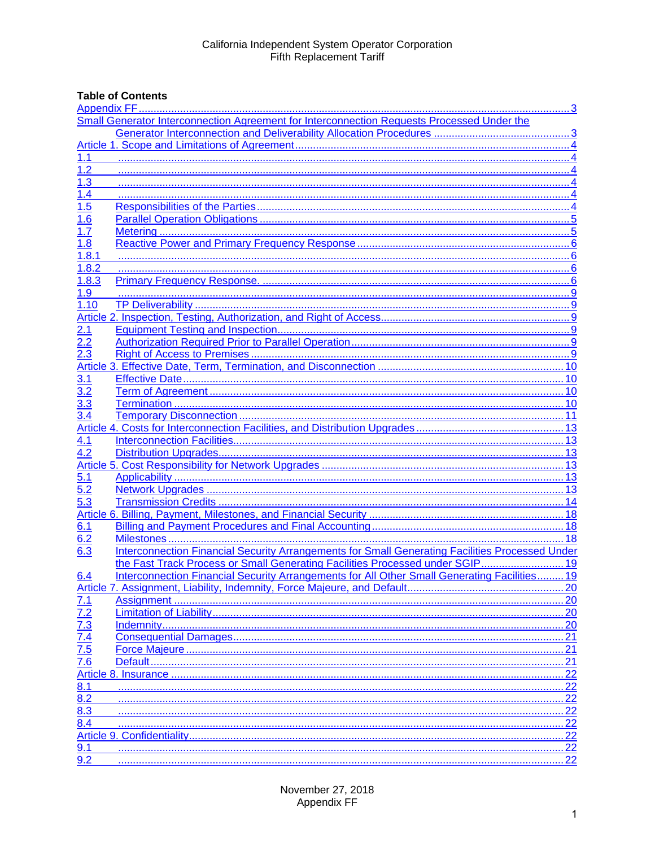# **Table of Contents**

| Small Generator Interconnection Agreement for Interconnection Requests Processed Under the |                                                                                                 |     |  |
|--------------------------------------------------------------------------------------------|-------------------------------------------------------------------------------------------------|-----|--|
|                                                                                            |                                                                                                 |     |  |
|                                                                                            |                                                                                                 |     |  |
| 1.1                                                                                        |                                                                                                 |     |  |
| 1.2                                                                                        |                                                                                                 |     |  |
| 1.3                                                                                        |                                                                                                 |     |  |
| 1.4                                                                                        |                                                                                                 |     |  |
| 1.5                                                                                        |                                                                                                 |     |  |
| 1.6                                                                                        |                                                                                                 |     |  |
| 1.7                                                                                        |                                                                                                 |     |  |
| 1.8                                                                                        |                                                                                                 |     |  |
| 1.8.1                                                                                      |                                                                                                 |     |  |
| 1.8.2                                                                                      |                                                                                                 |     |  |
| 1.8.3                                                                                      |                                                                                                 |     |  |
| 1.9                                                                                        |                                                                                                 |     |  |
| 1.10                                                                                       |                                                                                                 |     |  |
|                                                                                            |                                                                                                 |     |  |
| 2.1                                                                                        |                                                                                                 |     |  |
| 2.2                                                                                        |                                                                                                 |     |  |
| 2.3                                                                                        |                                                                                                 |     |  |
|                                                                                            |                                                                                                 |     |  |
| 3.1                                                                                        |                                                                                                 |     |  |
| 3.2                                                                                        |                                                                                                 |     |  |
| 3.3                                                                                        |                                                                                                 |     |  |
| 3.4                                                                                        |                                                                                                 |     |  |
|                                                                                            |                                                                                                 |     |  |
| 4.1                                                                                        |                                                                                                 |     |  |
| 4.2                                                                                        |                                                                                                 |     |  |
|                                                                                            |                                                                                                 |     |  |
| <u>5.1</u>                                                                                 |                                                                                                 |     |  |
| 5.2                                                                                        |                                                                                                 |     |  |
| 5.3                                                                                        |                                                                                                 |     |  |
|                                                                                            |                                                                                                 |     |  |
| 6.1                                                                                        |                                                                                                 |     |  |
| 6.2                                                                                        |                                                                                                 |     |  |
| 6.3                                                                                        | Interconnection Financial Security Arrangements for Small Generating Facilities Processed Under |     |  |
|                                                                                            | the Fast Track Process or Small Generating Facilities Processed under SGIP 19                   |     |  |
| 6.4                                                                                        | Interconnection Financial Security Arrangements for All Other Small Generating Facilities 19    |     |  |
|                                                                                            |                                                                                                 | 20  |  |
| 7.1                                                                                        |                                                                                                 |     |  |
|                                                                                            |                                                                                                 | 20  |  |
|                                                                                            |                                                                                                 | 20  |  |
|                                                                                            |                                                                                                 | 21  |  |
|                                                                                            |                                                                                                 | 21  |  |
| $\frac{7.2}{7.3}$<br>$\frac{7.3}{7.4}$<br>$\frac{7.4}{7.6}$                                |                                                                                                 | 21  |  |
|                                                                                            |                                                                                                 | 22  |  |
| 8.1                                                                                        |                                                                                                 | 22  |  |
| 8.2                                                                                        |                                                                                                 | 22  |  |
| 8.3                                                                                        |                                                                                                 | 22  |  |
| 8.4                                                                                        |                                                                                                 | 22  |  |
|                                                                                            |                                                                                                 | .22 |  |
| 9.1                                                                                        |                                                                                                 | 22  |  |
| 9.2                                                                                        |                                                                                                 | 22  |  |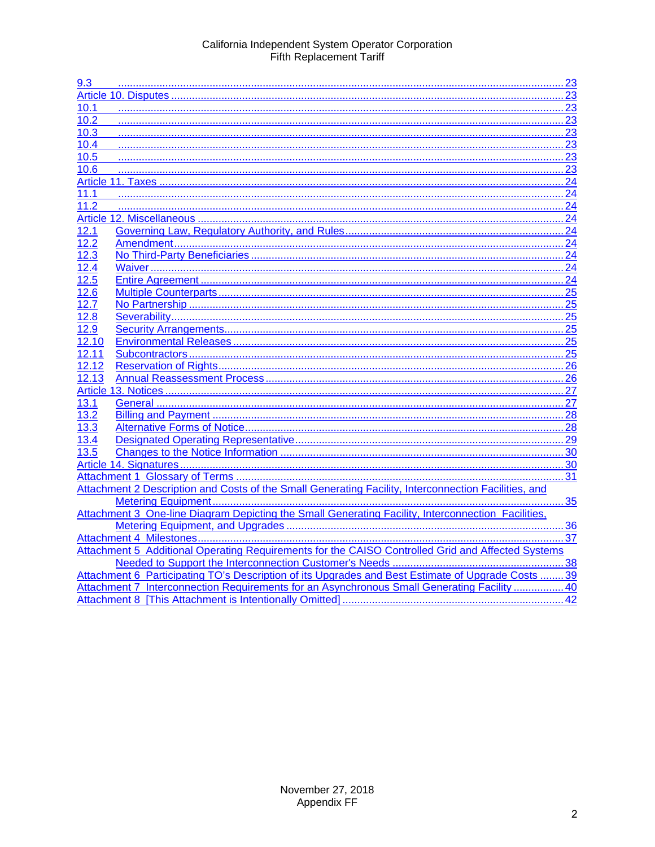| 9.3   |                                                                                                      |    |
|-------|------------------------------------------------------------------------------------------------------|----|
|       |                                                                                                      |    |
| 10.1  |                                                                                                      |    |
| 10.2  |                                                                                                      |    |
| 10.3  |                                                                                                      |    |
| 10.4  | 23                                                                                                   |    |
| 10.5  |                                                                                                      |    |
| 10.6  |                                                                                                      |    |
|       |                                                                                                      |    |
| 11.1  | 24                                                                                                   |    |
| 11.2  |                                                                                                      |    |
|       |                                                                                                      |    |
| 12.1  |                                                                                                      |    |
| 12.2  |                                                                                                      |    |
| 12.3  |                                                                                                      |    |
| 12.4  |                                                                                                      |    |
| 12.5  |                                                                                                      |    |
| 12.6  |                                                                                                      |    |
| 12.7  |                                                                                                      |    |
| 12.8  |                                                                                                      |    |
| 12.9  |                                                                                                      |    |
| 12.10 |                                                                                                      |    |
| 12.11 |                                                                                                      |    |
| 12.12 |                                                                                                      |    |
| 12.13 |                                                                                                      |    |
|       |                                                                                                      |    |
| 13.1  |                                                                                                      |    |
| 13.2  |                                                                                                      |    |
| 13.3  |                                                                                                      |    |
| 13.4  |                                                                                                      |    |
| 13.5  |                                                                                                      |    |
|       |                                                                                                      |    |
|       |                                                                                                      |    |
|       | Attachment 2 Description and Costs of the Small Generating Facility, Interconnection Facilities, and |    |
|       | 35                                                                                                   |    |
|       | Attachment 3 One-line Diagram Depicting the Small Generating Facility, Interconnection Facilities,   |    |
|       |                                                                                                      |    |
|       |                                                                                                      |    |
|       | Attachment 5 Additional Operating Requirements for the CAISO Controlled Grid and Affected Systems    |    |
|       |                                                                                                      |    |
|       | Attachment 6 Participating TO's Description of its Upgrades and Best Estimate of Upgrade Costs 39    |    |
|       | Attachment 7 Interconnection Requirements for an Asynchronous Small Generating Facility  40          |    |
|       |                                                                                                      | 42 |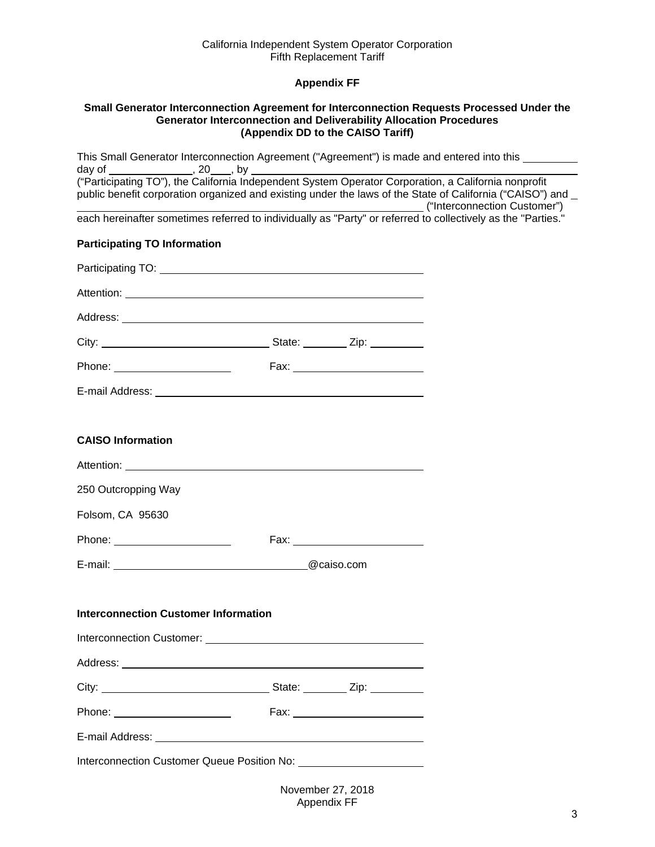# **Appendix FF**

#### <span id="page-2-1"></span><span id="page-2-0"></span>**Small Generator Interconnection Agreement for Interconnection Requests Processed Under the Generator Interconnection and Deliverability Allocation Procedures (Appendix DD to the CAISO Tariff)**

| This Small Generator Interconnection Agreement ("Agreement") is made and entered into this                   |  |                                 |  |
|--------------------------------------------------------------------------------------------------------------|--|---------------------------------|--|
| public benefit corporation organized and existing under the laws of the State of California ("CAISO") and    |  |                                 |  |
| each hereinafter sometimes referred to individually as "Party" or referred to collectively as the "Parties." |  |                                 |  |
| <b>Participating TO Information</b>                                                                          |  |                                 |  |
|                                                                                                              |  |                                 |  |
|                                                                                                              |  |                                 |  |
|                                                                                                              |  |                                 |  |
|                                                                                                              |  |                                 |  |
|                                                                                                              |  |                                 |  |
|                                                                                                              |  |                                 |  |
|                                                                                                              |  |                                 |  |
| <b>CAISO Information</b>                                                                                     |  |                                 |  |
|                                                                                                              |  |                                 |  |
| 250 Outcropping Way                                                                                          |  |                                 |  |
| Folsom, CA 95630                                                                                             |  |                                 |  |
| Phone: <u>_________________________</u>                                                                      |  |                                 |  |
| E-mail: @caiso.com                                                                                           |  |                                 |  |
|                                                                                                              |  |                                 |  |
| <b>Interconnection Customer Information</b>                                                                  |  |                                 |  |
|                                                                                                              |  |                                 |  |
|                                                                                                              |  |                                 |  |
|                                                                                                              |  |                                 |  |
| Phone: _______________________                                                                               |  | Fax: __________________________ |  |
|                                                                                                              |  |                                 |  |
|                                                                                                              |  |                                 |  |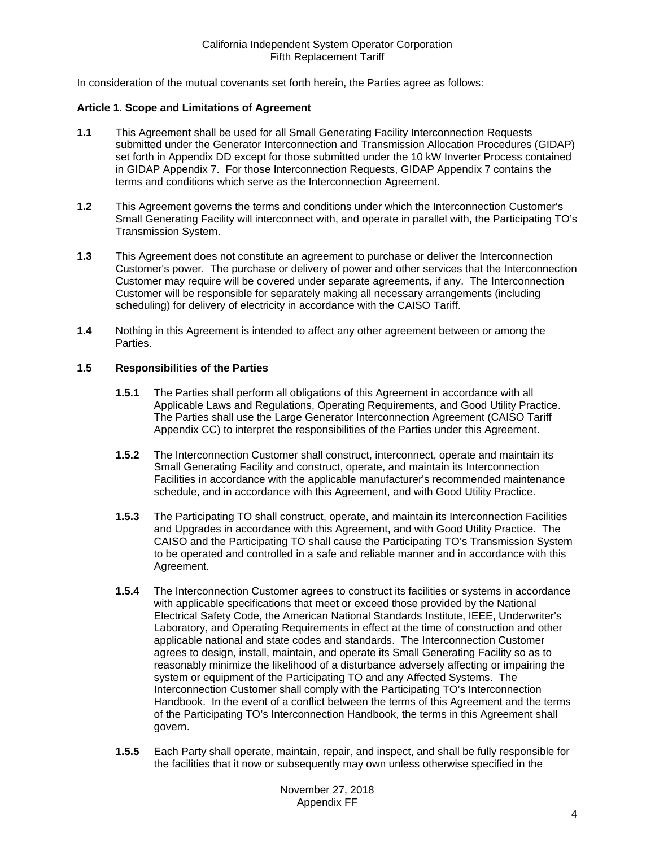In consideration of the mutual covenants set forth herein, the Parties agree as follows:

#### <span id="page-3-0"></span>**Article 1. Scope and Limitations of Agreement**

- <span id="page-3-1"></span>**1.1** This Agreement shall be used for all Small Generating Facility Interconnection Requests submitted under the Generator Interconnection and Transmission Allocation Procedures (GIDAP) set forth in Appendix DD except for those submitted under the 10 kW Inverter Process contained in GIDAP Appendix 7. For those Interconnection Requests, GIDAP Appendix 7 contains the terms and conditions which serve as the Interconnection Agreement.
- <span id="page-3-2"></span>**1.2** This Agreement governs the terms and conditions under which the Interconnection Customer's Small Generating Facility will interconnect with, and operate in parallel with, the Participating TO's Transmission System.
- <span id="page-3-3"></span>**1.3** This Agreement does not constitute an agreement to purchase or deliver the Interconnection Customer's power. The purchase or delivery of power and other services that the Interconnection Customer may require will be covered under separate agreements, if any. The Interconnection Customer will be responsible for separately making all necessary arrangements (including scheduling) for delivery of electricity in accordance with the CAISO Tariff.
- <span id="page-3-4"></span>**1.4** Nothing in this Agreement is intended to affect any other agreement between or among the Parties.

# <span id="page-3-5"></span>**1.5 Responsibilities of the Parties**

- **1.5.1** The Parties shall perform all obligations of this Agreement in accordance with all Applicable Laws and Regulations, Operating Requirements, and Good Utility Practice. The Parties shall use the Large Generator Interconnection Agreement (CAISO Tariff Appendix CC) to interpret the responsibilities of the Parties under this Agreement.
- **1.5.2** The Interconnection Customer shall construct, interconnect, operate and maintain its Small Generating Facility and construct, operate, and maintain its Interconnection Facilities in accordance with the applicable manufacturer's recommended maintenance schedule, and in accordance with this Agreement, and with Good Utility Practice.
- **1.5.3** The Participating TO shall construct, operate, and maintain its Interconnection Facilities and Upgrades in accordance with this Agreement, and with Good Utility Practice. The CAISO and the Participating TO shall cause the Participating TO's Transmission System to be operated and controlled in a safe and reliable manner and in accordance with this Agreement.
- **1.5.4** The Interconnection Customer agrees to construct its facilities or systems in accordance with applicable specifications that meet or exceed those provided by the National Electrical Safety Code, the American National Standards Institute, IEEE, Underwriter's Laboratory, and Operating Requirements in effect at the time of construction and other applicable national and state codes and standards. The Interconnection Customer agrees to design, install, maintain, and operate its Small Generating Facility so as to reasonably minimize the likelihood of a disturbance adversely affecting or impairing the system or equipment of the Participating TO and any Affected Systems. The Interconnection Customer shall comply with the Participating TO's Interconnection Handbook. In the event of a conflict between the terms of this Agreement and the terms of the Participating TO's Interconnection Handbook, the terms in this Agreement shall govern.
- **1.5.5** Each Party shall operate, maintain, repair, and inspect, and shall be fully responsible for the facilities that it now or subsequently may own unless otherwise specified in the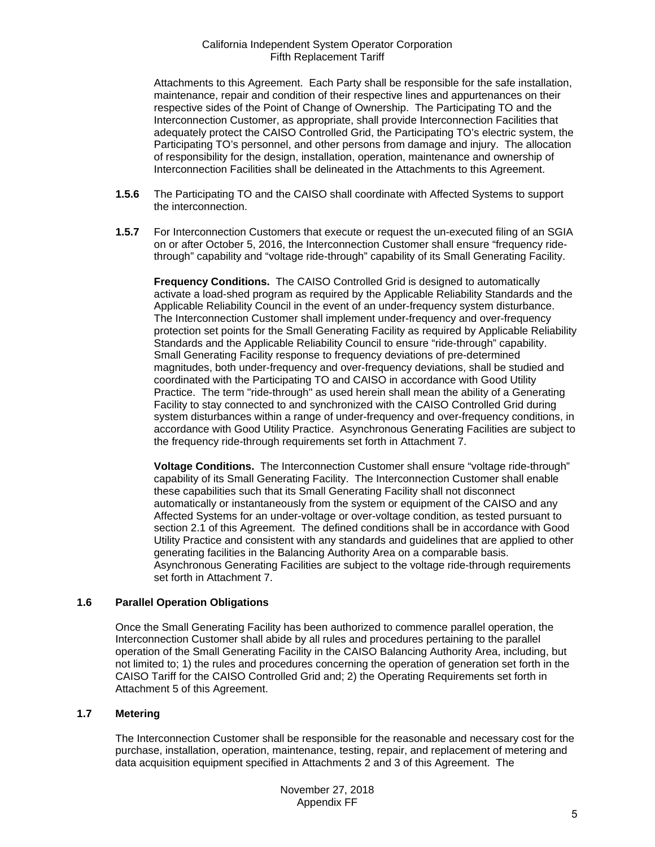Attachments to this Agreement. Each Party shall be responsible for the safe installation, maintenance, repair and condition of their respective lines and appurtenances on their respective sides of the Point of Change of Ownership. The Participating TO and the Interconnection Customer, as appropriate, shall provide Interconnection Facilities that adequately protect the CAISO Controlled Grid, the Participating TO's electric system, the Participating TO's personnel, and other persons from damage and injury. The allocation of responsibility for the design, installation, operation, maintenance and ownership of Interconnection Facilities shall be delineated in the Attachments to this Agreement.

- **1.5.6** The Participating TO and the CAISO shall coordinate with Affected Systems to support the interconnection.
- **1.5.7** For Interconnection Customers that execute or request the un-executed filing of an SGIA on or after October 5, 2016, the Interconnection Customer shall ensure "frequency ridethrough" capability and "voltage ride-through" capability of its Small Generating Facility.

**Frequency Conditions.** The CAISO Controlled Grid is designed to automatically activate a load-shed program as required by the Applicable Reliability Standards and the Applicable Reliability Council in the event of an under-frequency system disturbance. The Interconnection Customer shall implement under-frequency and over-frequency protection set points for the Small Generating Facility as required by Applicable Reliability Standards and the Applicable Reliability Council to ensure "ride-through" capability. Small Generating Facility response to frequency deviations of pre-determined magnitudes, both under-frequency and over-frequency deviations, shall be studied and coordinated with the Participating TO and CAISO in accordance with Good Utility Practice. The term "ride-through" as used herein shall mean the ability of a Generating Facility to stay connected to and synchronized with the CAISO Controlled Grid during system disturbances within a range of under-frequency and over-frequency conditions, in accordance with Good Utility Practice. Asynchronous Generating Facilities are subject to the frequency ride-through requirements set forth in Attachment 7.

**Voltage Conditions.** The Interconnection Customer shall ensure "voltage ride-through" capability of its Small Generating Facility. The Interconnection Customer shall enable these capabilities such that its Small Generating Facility shall not disconnect automatically or instantaneously from the system or equipment of the CAISO and any Affected Systems for an under-voltage or over-voltage condition, as tested pursuant to section 2.1 of this Agreement. The defined conditions shall be in accordance with Good Utility Practice and consistent with any standards and guidelines that are applied to other generating facilities in the Balancing Authority Area on a comparable basis. Asynchronous Generating Facilities are subject to the voltage ride-through requirements set forth in Attachment 7.

# <span id="page-4-0"></span>**1.6 Parallel Operation Obligations**

Once the Small Generating Facility has been authorized to commence parallel operation, the Interconnection Customer shall abide by all rules and procedures pertaining to the parallel operation of the Small Generating Facility in the CAISO Balancing Authority Area, including, but not limited to; 1) the rules and procedures concerning the operation of generation set forth in the CAISO Tariff for the CAISO Controlled Grid and; 2) the Operating Requirements set forth in Attachment 5 of this Agreement.

# <span id="page-4-1"></span>**1.7 Metering**

The Interconnection Customer shall be responsible for the reasonable and necessary cost for the purchase, installation, operation, maintenance, testing, repair, and replacement of metering and data acquisition equipment specified in Attachments 2 and 3 of this Agreement. The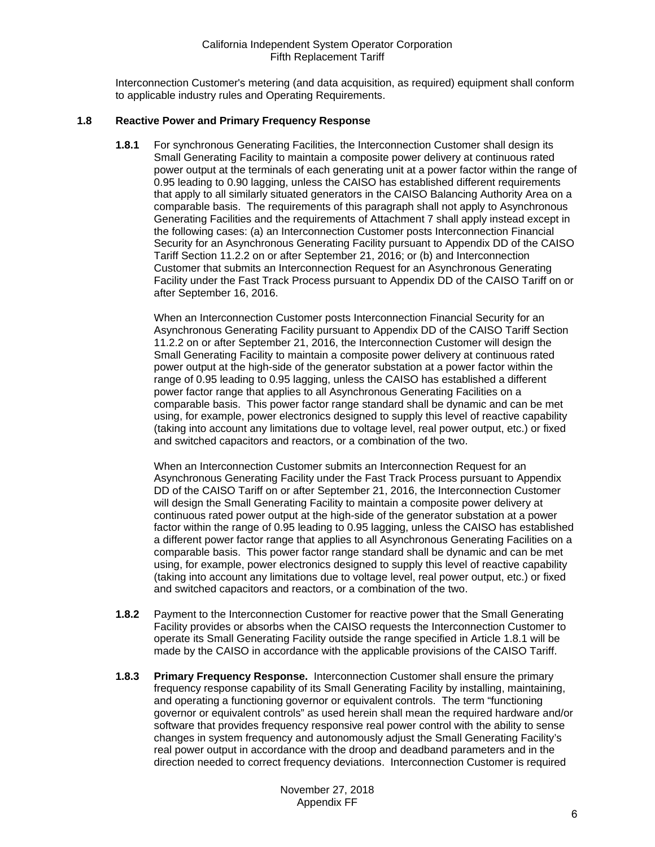Interconnection Customer's metering (and data acquisition, as required) equipment shall conform to applicable industry rules and Operating Requirements.

# <span id="page-5-1"></span><span id="page-5-0"></span>**1.8 Reactive Power and Primary Frequency Response**

**1.8.1** For synchronous Generating Facilities, the Interconnection Customer shall design its Small Generating Facility to maintain a composite power delivery at continuous rated power output at the terminals of each generating unit at a power factor within the range of 0.95 leading to 0.90 lagging, unless the CAISO has established different requirements that apply to all similarly situated generators in the CAISO Balancing Authority Area on a comparable basis. The requirements of this paragraph shall not apply to Asynchronous Generating Facilities and the requirements of Attachment 7 shall apply instead except in the following cases: (a) an Interconnection Customer posts Interconnection Financial Security for an Asynchronous Generating Facility pursuant to Appendix DD of the CAISO Tariff Section 11.2.2 on or after September 21, 2016; or (b) and Interconnection Customer that submits an Interconnection Request for an Asynchronous Generating Facility under the Fast Track Process pursuant to Appendix DD of the CAISO Tariff on or after September 16, 2016.

When an Interconnection Customer posts Interconnection Financial Security for an Asynchronous Generating Facility pursuant to Appendix DD of the CAISO Tariff Section 11.2.2 on or after September 21, 2016, the Interconnection Customer will design the Small Generating Facility to maintain a composite power delivery at continuous rated power output at the high-side of the generator substation at a power factor within the range of 0.95 leading to 0.95 lagging, unless the CAISO has established a different power factor range that applies to all Asynchronous Generating Facilities on a comparable basis. This power factor range standard shall be dynamic and can be met using, for example, power electronics designed to supply this level of reactive capability (taking into account any limitations due to voltage level, real power output, etc.) or fixed and switched capacitors and reactors, or a combination of the two.

When an Interconnection Customer submits an Interconnection Request for an Asynchronous Generating Facility under the Fast Track Process pursuant to Appendix DD of the CAISO Tariff on or after September 21, 2016, the Interconnection Customer will design the Small Generating Facility to maintain a composite power delivery at continuous rated power output at the high-side of the generator substation at a power factor within the range of 0.95 leading to 0.95 lagging, unless the CAISO has established a different power factor range that applies to all Asynchronous Generating Facilities on a comparable basis. This power factor range standard shall be dynamic and can be met using, for example, power electronics designed to supply this level of reactive capability (taking into account any limitations due to voltage level, real power output, etc.) or fixed and switched capacitors and reactors, or a combination of the two.

- <span id="page-5-2"></span>**1.8.2** Payment to the Interconnection Customer for reactive power that the Small Generating Facility provides or absorbs when the CAISO requests the Interconnection Customer to operate its Small Generating Facility outside the range specified in Article 1.8.1 will be made by the CAISO in accordance with the applicable provisions of the CAISO Tariff.
- <span id="page-5-3"></span>**1.8.3 Primary Frequency Response.** Interconnection Customer shall ensure the primary frequency response capability of its Small Generating Facility by installing, maintaining, and operating a functioning governor or equivalent controls. The term "functioning governor or equivalent controls" as used herein shall mean the required hardware and/or software that provides frequency responsive real power control with the ability to sense changes in system frequency and autonomously adjust the Small Generating Facility's real power output in accordance with the droop and deadband parameters and in the direction needed to correct frequency deviations. Interconnection Customer is required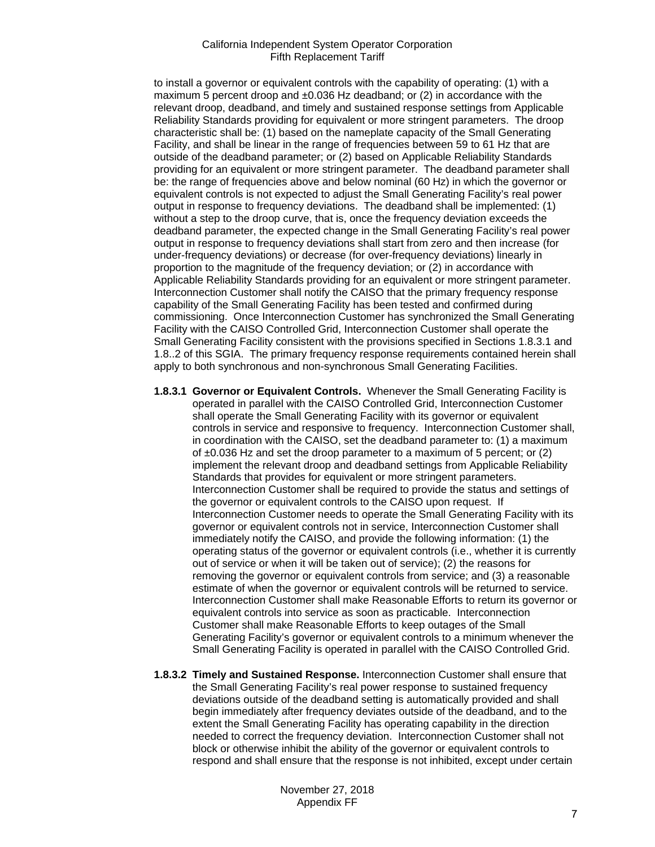to install a governor or equivalent controls with the capability of operating: (1) with a maximum 5 percent droop and  $\pm 0.036$  Hz deadband; or (2) in accordance with the relevant droop, deadband, and timely and sustained response settings from Applicable Reliability Standards providing for equivalent or more stringent parameters. The droop characteristic shall be: (1) based on the nameplate capacity of the Small Generating Facility, and shall be linear in the range of frequencies between 59 to 61 Hz that are outside of the deadband parameter; or (2) based on Applicable Reliability Standards providing for an equivalent or more stringent parameter. The deadband parameter shall be: the range of frequencies above and below nominal (60 Hz) in which the governor or equivalent controls is not expected to adjust the Small Generating Facility's real power output in response to frequency deviations. The deadband shall be implemented: (1) without a step to the droop curve, that is, once the frequency deviation exceeds the deadband parameter, the expected change in the Small Generating Facility's real power output in response to frequency deviations shall start from zero and then increase (for under-frequency deviations) or decrease (for over-frequency deviations) linearly in proportion to the magnitude of the frequency deviation; or (2) in accordance with Applicable Reliability Standards providing for an equivalent or more stringent parameter. Interconnection Customer shall notify the CAISO that the primary frequency response capability of the Small Generating Facility has been tested and confirmed during commissioning. Once Interconnection Customer has synchronized the Small Generating Facility with the CAISO Controlled Grid, Interconnection Customer shall operate the Small Generating Facility consistent with the provisions specified in Sections 1.8.3.1 and 1.8..2 of this SGIA. The primary frequency response requirements contained herein shall apply to both synchronous and non-synchronous Small Generating Facilities.

- **1.8.3.1 Governor or Equivalent Controls.** Whenever the Small Generating Facility is operated in parallel with the CAISO Controlled Grid, Interconnection Customer shall operate the Small Generating Facility with its governor or equivalent controls in service and responsive to frequency. Interconnection Customer shall, in coordination with the CAISO, set the deadband parameter to: (1) a maximum of  $\pm 0.036$  Hz and set the droop parameter to a maximum of 5 percent; or (2) implement the relevant droop and deadband settings from Applicable Reliability Standards that provides for equivalent or more stringent parameters. Interconnection Customer shall be required to provide the status and settings of the governor or equivalent controls to the CAISO upon request. If Interconnection Customer needs to operate the Small Generating Facility with its governor or equivalent controls not in service, Interconnection Customer shall immediately notify the CAISO, and provide the following information: (1) the operating status of the governor or equivalent controls (i.e., whether it is currently out of service or when it will be taken out of service); (2) the reasons for removing the governor or equivalent controls from service; and (3) a reasonable estimate of when the governor or equivalent controls will be returned to service. Interconnection Customer shall make Reasonable Efforts to return its governor or equivalent controls into service as soon as practicable. Interconnection Customer shall make Reasonable Efforts to keep outages of the Small Generating Facility's governor or equivalent controls to a minimum whenever the Small Generating Facility is operated in parallel with the CAISO Controlled Grid.
- **1.8.3.2 Timely and Sustained Response.** Interconnection Customer shall ensure that the Small Generating Facility's real power response to sustained frequency deviations outside of the deadband setting is automatically provided and shall begin immediately after frequency deviates outside of the deadband, and to the extent the Small Generating Facility has operating capability in the direction needed to correct the frequency deviation. Interconnection Customer shall not block or otherwise inhibit the ability of the governor or equivalent controls to respond and shall ensure that the response is not inhibited, except under certain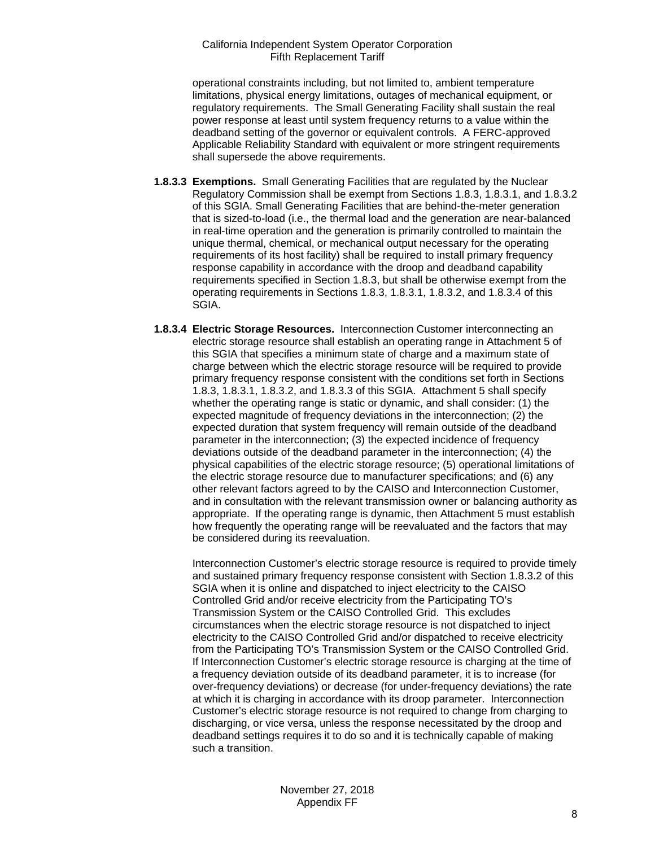operational constraints including, but not limited to, ambient temperature limitations, physical energy limitations, outages of mechanical equipment, or regulatory requirements. The Small Generating Facility shall sustain the real power response at least until system frequency returns to a value within the deadband setting of the governor or equivalent controls. A FERC-approved Applicable Reliability Standard with equivalent or more stringent requirements shall supersede the above requirements.

- **1.8.3.3 Exemptions.** Small Generating Facilities that are regulated by the Nuclear Regulatory Commission shall be exempt from Sections 1.8.3, 1.8.3.1, and 1.8.3.2 of this SGIA. Small Generating Facilities that are behind-the-meter generation that is sized-to-load (i.e., the thermal load and the generation are near-balanced in real-time operation and the generation is primarily controlled to maintain the unique thermal, chemical, or mechanical output necessary for the operating requirements of its host facility) shall be required to install primary frequency response capability in accordance with the droop and deadband capability requirements specified in Section 1.8.3, but shall be otherwise exempt from the operating requirements in Sections 1.8.3, 1.8.3.1, 1.8.3.2, and 1.8.3.4 of this SGIA.
- **1.8.3.4 Electric Storage Resources.** Interconnection Customer interconnecting an electric storage resource shall establish an operating range in Attachment 5 of this SGIA that specifies a minimum state of charge and a maximum state of charge between which the electric storage resource will be required to provide primary frequency response consistent with the conditions set forth in Sections 1.8.3, 1.8.3.1, 1.8.3.2, and 1.8.3.3 of this SGIA. Attachment 5 shall specify whether the operating range is static or dynamic, and shall consider: (1) the expected magnitude of frequency deviations in the interconnection; (2) the expected duration that system frequency will remain outside of the deadband parameter in the interconnection; (3) the expected incidence of frequency deviations outside of the deadband parameter in the interconnection; (4) the physical capabilities of the electric storage resource; (5) operational limitations of the electric storage resource due to manufacturer specifications; and (6) any other relevant factors agreed to by the CAISO and Interconnection Customer, and in consultation with the relevant transmission owner or balancing authority as appropriate. If the operating range is dynamic, then Attachment 5 must establish how frequently the operating range will be reevaluated and the factors that may be considered during its reevaluation.

Interconnection Customer's electric storage resource is required to provide timely and sustained primary frequency response consistent with Section 1.8.3.2 of this SGIA when it is online and dispatched to inject electricity to the CAISO Controlled Grid and/or receive electricity from the Participating TO's Transmission System or the CAISO Controlled Grid. This excludes circumstances when the electric storage resource is not dispatched to inject electricity to the CAISO Controlled Grid and/or dispatched to receive electricity from the Participating TO's Transmission System or the CAISO Controlled Grid. If Interconnection Customer's electric storage resource is charging at the time of a frequency deviation outside of its deadband parameter, it is to increase (for over-frequency deviations) or decrease (for under-frequency deviations) the rate at which it is charging in accordance with its droop parameter. Interconnection Customer's electric storage resource is not required to change from charging to discharging, or vice versa, unless the response necessitated by the droop and deadband settings requires it to do so and it is technically capable of making such a transition.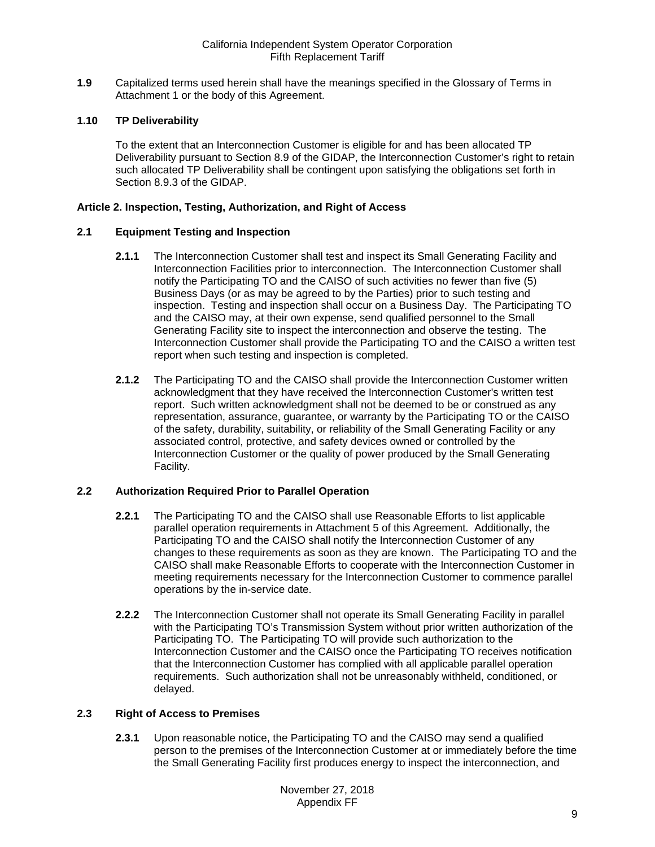<span id="page-8-0"></span>**1.9** Capitalized terms used herein shall have the meanings specified in the Glossary of Terms in Attachment 1 or the body of this Agreement.

## <span id="page-8-1"></span>**1.10 TP Deliverability**

To the extent that an Interconnection Customer is eligible for and has been allocated TP Deliverability pursuant to Section 8.9 of the GIDAP, the Interconnection Customer's right to retain such allocated TP Deliverability shall be contingent upon satisfying the obligations set forth in Section 8.9.3 of the GIDAP.

#### <span id="page-8-2"></span>**Article 2. Inspection, Testing, Authorization, and Right of Access**

#### <span id="page-8-3"></span>**2.1 Equipment Testing and Inspection**

- **2.1.1** The Interconnection Customer shall test and inspect its Small Generating Facility and Interconnection Facilities prior to interconnection. The Interconnection Customer shall notify the Participating TO and the CAISO of such activities no fewer than five (5) Business Days (or as may be agreed to by the Parties) prior to such testing and inspection. Testing and inspection shall occur on a Business Day. The Participating TO and the CAISO may, at their own expense, send qualified personnel to the Small Generating Facility site to inspect the interconnection and observe the testing. The Interconnection Customer shall provide the Participating TO and the CAISO a written test report when such testing and inspection is completed.
- **2.1.2** The Participating TO and the CAISO shall provide the Interconnection Customer written acknowledgment that they have received the Interconnection Customer's written test report. Such written acknowledgment shall not be deemed to be or construed as any representation, assurance, guarantee, or warranty by the Participating TO or the CAISO of the safety, durability, suitability, or reliability of the Small Generating Facility or any associated control, protective, and safety devices owned or controlled by the Interconnection Customer or the quality of power produced by the Small Generating Facility.

# <span id="page-8-4"></span>**2.2 Authorization Required Prior to Parallel Operation**

- **2.2.1** The Participating TO and the CAISO shall use Reasonable Efforts to list applicable parallel operation requirements in Attachment 5 of this Agreement. Additionally, the Participating TO and the CAISO shall notify the Interconnection Customer of any changes to these requirements as soon as they are known. The Participating TO and the CAISO shall make Reasonable Efforts to cooperate with the Interconnection Customer in meeting requirements necessary for the Interconnection Customer to commence parallel operations by the in-service date.
- **2.2.2** The Interconnection Customer shall not operate its Small Generating Facility in parallel with the Participating TO's Transmission System without prior written authorization of the Participating TO. The Participating TO will provide such authorization to the Interconnection Customer and the CAISO once the Participating TO receives notification that the Interconnection Customer has complied with all applicable parallel operation requirements. Such authorization shall not be unreasonably withheld, conditioned, or delayed.

#### <span id="page-8-5"></span>**2.3 Right of Access to Premises**

**2.3.1** Upon reasonable notice, the Participating TO and the CAISO may send a qualified person to the premises of the Interconnection Customer at or immediately before the time the Small Generating Facility first produces energy to inspect the interconnection, and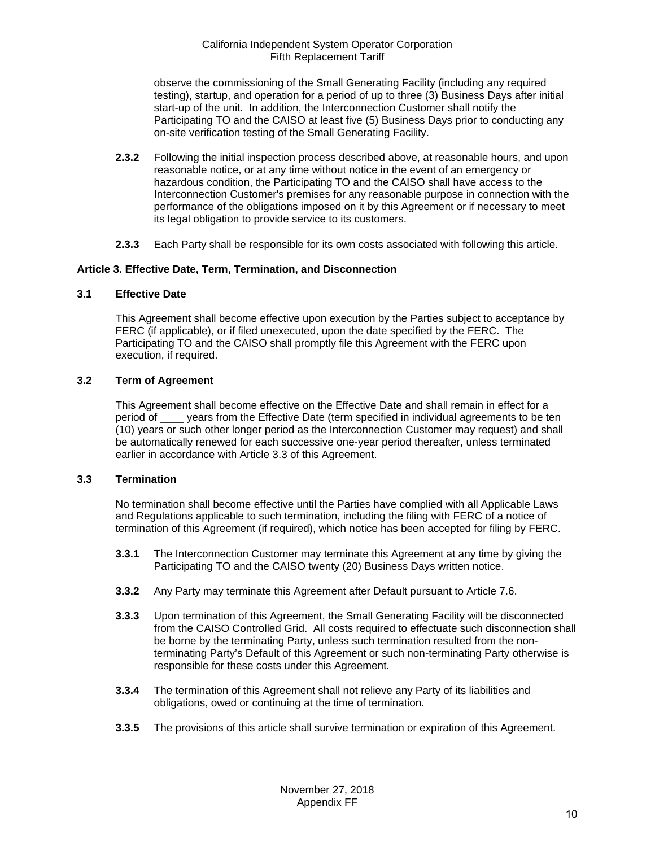observe the commissioning of the Small Generating Facility (including any required testing), startup, and operation for a period of up to three (3) Business Days after initial start-up of the unit. In addition, the Interconnection Customer shall notify the Participating TO and the CAISO at least five (5) Business Days prior to conducting any on-site verification testing of the Small Generating Facility.

- **2.3.2** Following the initial inspection process described above, at reasonable hours, and upon reasonable notice, or at any time without notice in the event of an emergency or hazardous condition, the Participating TO and the CAISO shall have access to the Interconnection Customer's premises for any reasonable purpose in connection with the performance of the obligations imposed on it by this Agreement or if necessary to meet its legal obligation to provide service to its customers.
- **2.3.3** Each Party shall be responsible for its own costs associated with following this article.

# <span id="page-9-0"></span>**Article 3. Effective Date, Term, Termination, and Disconnection**

# <span id="page-9-1"></span>**3.1 Effective Date**

This Agreement shall become effective upon execution by the Parties subject to acceptance by FERC (if applicable), or if filed unexecuted, upon the date specified by the FERC. The Participating TO and the CAISO shall promptly file this Agreement with the FERC upon execution, if required.

# <span id="page-9-2"></span>**3.2 Term of Agreement**

This Agreement shall become effective on the Effective Date and shall remain in effect for a period of vears from the Effective Date (term specified in individual agreements to be ten (10) years or such other longer period as the Interconnection Customer may request) and shall be automatically renewed for each successive one-year period thereafter, unless terminated earlier in accordance with Article 3.3 of this Agreement.

# <span id="page-9-3"></span>**3.3 Termination**

No termination shall become effective until the Parties have complied with all Applicable Laws and Regulations applicable to such termination, including the filing with FERC of a notice of termination of this Agreement (if required), which notice has been accepted for filing by FERC.

- **3.3.1** The Interconnection Customer may terminate this Agreement at any time by giving the Participating TO and the CAISO twenty (20) Business Days written notice.
- **3.3.2** Any Party may terminate this Agreement after Default pursuant to Article 7.6.
- **3.3.3** Upon termination of this Agreement, the Small Generating Facility will be disconnected from the CAISO Controlled Grid. All costs required to effectuate such disconnection shall be borne by the terminating Party, unless such termination resulted from the nonterminating Party's Default of this Agreement or such non-terminating Party otherwise is responsible for these costs under this Agreement.
- **3.3.4** The termination of this Agreement shall not relieve any Party of its liabilities and obligations, owed or continuing at the time of termination.
- **3.3.5** The provisions of this article shall survive termination or expiration of this Agreement.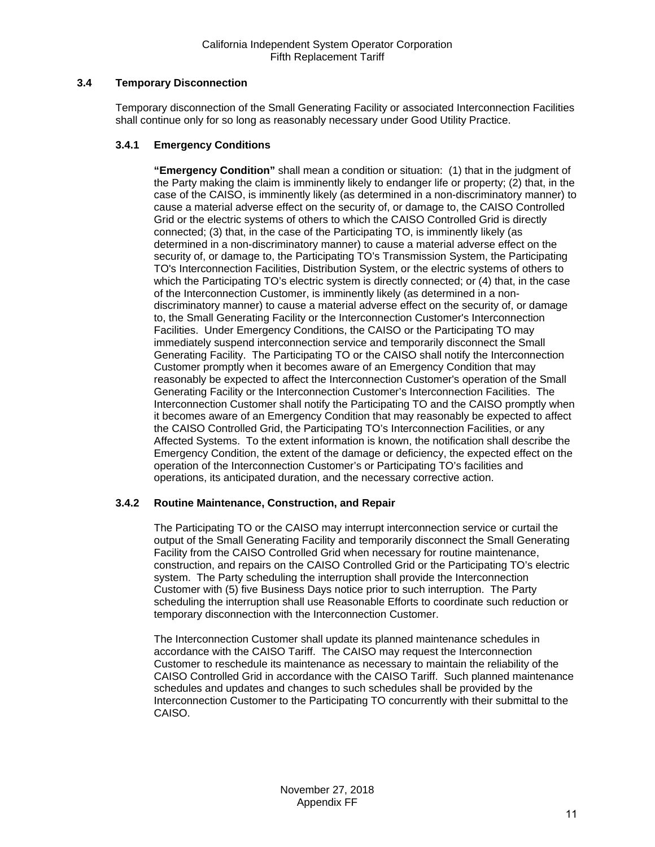# <span id="page-10-0"></span>**3.4 Temporary Disconnection**

Temporary disconnection of the Small Generating Facility or associated Interconnection Facilities shall continue only for so long as reasonably necessary under Good Utility Practice.

# **3.4.1 Emergency Conditions**

**"Emergency Condition"** shall mean a condition or situation: (1) that in the judgment of the Party making the claim is imminently likely to endanger life or property; (2) that, in the case of the CAISO, is imminently likely (as determined in a non-discriminatory manner) to cause a material adverse effect on the security of, or damage to, the CAISO Controlled Grid or the electric systems of others to which the CAISO Controlled Grid is directly connected; (3) that, in the case of the Participating TO, is imminently likely (as determined in a non-discriminatory manner) to cause a material adverse effect on the security of, or damage to, the Participating TO's Transmission System, the Participating TO's Interconnection Facilities, Distribution System, or the electric systems of others to which the Participating TO's electric system is directly connected; or (4) that, in the case of the Interconnection Customer, is imminently likely (as determined in a nondiscriminatory manner) to cause a material adverse effect on the security of, or damage to, the Small Generating Facility or the Interconnection Customer's Interconnection Facilities. Under Emergency Conditions, the CAISO or the Participating TO may immediately suspend interconnection service and temporarily disconnect the Small Generating Facility. The Participating TO or the CAISO shall notify the Interconnection Customer promptly when it becomes aware of an Emergency Condition that may reasonably be expected to affect the Interconnection Customer's operation of the Small Generating Facility or the Interconnection Customer's Interconnection Facilities. The Interconnection Customer shall notify the Participating TO and the CAISO promptly when it becomes aware of an Emergency Condition that may reasonably be expected to affect the CAISO Controlled Grid, the Participating TO's Interconnection Facilities, or any Affected Systems. To the extent information is known, the notification shall describe the Emergency Condition, the extent of the damage or deficiency, the expected effect on the operation of the Interconnection Customer's or Participating TO's facilities and operations, its anticipated duration, and the necessary corrective action.

# **3.4.2 Routine Maintenance, Construction, and Repair**

The Participating TO or the CAISO may interrupt interconnection service or curtail the output of the Small Generating Facility and temporarily disconnect the Small Generating Facility from the CAISO Controlled Grid when necessary for routine maintenance, construction, and repairs on the CAISO Controlled Grid or the Participating TO's electric system. The Party scheduling the interruption shall provide the Interconnection Customer with (5) five Business Days notice prior to such interruption. The Party scheduling the interruption shall use Reasonable Efforts to coordinate such reduction or temporary disconnection with the Interconnection Customer.

The Interconnection Customer shall update its planned maintenance schedules in accordance with the CAISO Tariff. The CAISO may request the Interconnection Customer to reschedule its maintenance as necessary to maintain the reliability of the CAISO Controlled Grid in accordance with the CAISO Tariff. Such planned maintenance schedules and updates and changes to such schedules shall be provided by the Interconnection Customer to the Participating TO concurrently with their submittal to the CAISO.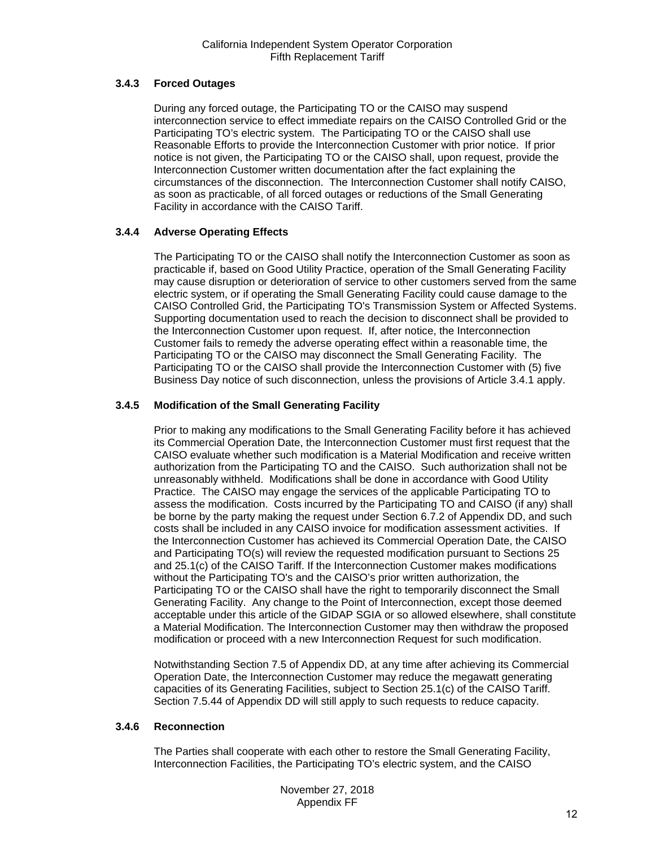# **3.4.3 Forced Outages**

During any forced outage, the Participating TO or the CAISO may suspend interconnection service to effect immediate repairs on the CAISO Controlled Grid or the Participating TO's electric system. The Participating TO or the CAISO shall use Reasonable Efforts to provide the Interconnection Customer with prior notice. If prior notice is not given, the Participating TO or the CAISO shall, upon request, provide the Interconnection Customer written documentation after the fact explaining the circumstances of the disconnection. The Interconnection Customer shall notify CAISO, as soon as practicable, of all forced outages or reductions of the Small Generating Facility in accordance with the CAISO Tariff.

# **3.4.4 Adverse Operating Effects**

The Participating TO or the CAISO shall notify the Interconnection Customer as soon as practicable if, based on Good Utility Practice, operation of the Small Generating Facility may cause disruption or deterioration of service to other customers served from the same electric system, or if operating the Small Generating Facility could cause damage to the CAISO Controlled Grid, the Participating TO's Transmission System or Affected Systems. Supporting documentation used to reach the decision to disconnect shall be provided to the Interconnection Customer upon request. If, after notice, the Interconnection Customer fails to remedy the adverse operating effect within a reasonable time, the Participating TO or the CAISO may disconnect the Small Generating Facility. The Participating TO or the CAISO shall provide the Interconnection Customer with (5) five Business Day notice of such disconnection, unless the provisions of Article 3.4.1 apply.

# **3.4.5 Modification of the Small Generating Facility**

Prior to making any modifications to the Small Generating Facility before it has achieved its Commercial Operation Date, the Interconnection Customer must first request that the CAISO evaluate whether such modification is a Material Modification and receive written authorization from the Participating TO and the CAISO. Such authorization shall not be unreasonably withheld. Modifications shall be done in accordance with Good Utility Practice. The CAISO may engage the services of the applicable Participating TO to assess the modification. Costs incurred by the Participating TO and CAISO (if any) shall be borne by the party making the request under Section 6.7.2 of Appendix DD, and such costs shall be included in any CAISO invoice for modification assessment activities. If the Interconnection Customer has achieved its Commercial Operation Date, the CAISO and Participating TO(s) will review the requested modification pursuant to Sections 25 and 25.1(c) of the CAISO Tariff. If the Interconnection Customer makes modifications without the Participating TO's and the CAISO's prior written authorization, the Participating TO or the CAISO shall have the right to temporarily disconnect the Small Generating Facility. Any change to the Point of Interconnection, except those deemed acceptable under this article of the GIDAP SGIA or so allowed elsewhere, shall constitute a Material Modification. The Interconnection Customer may then withdraw the proposed modification or proceed with a new Interconnection Request for such modification.

Notwithstanding Section 7.5 of Appendix DD, at any time after achieving its Commercial Operation Date, the Interconnection Customer may reduce the megawatt generating capacities of its Generating Facilities, subject to Section 25.1(c) of the CAISO Tariff. Section 7.5.44 of Appendix DD will still apply to such requests to reduce capacity.

# **3.4.6 Reconnection**

The Parties shall cooperate with each other to restore the Small Generating Facility, Interconnection Facilities, the Participating TO's electric system, and the CAISO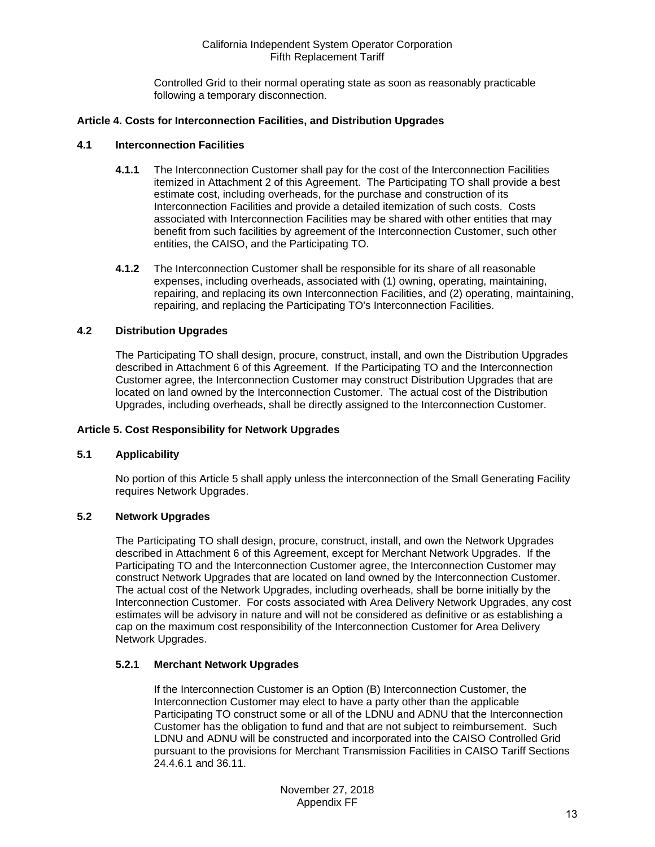Controlled Grid to their normal operating state as soon as reasonably practicable following a temporary disconnection.

# <span id="page-12-0"></span>**Article 4. Costs for Interconnection Facilities, and Distribution Upgrades**

#### <span id="page-12-1"></span>**4.1 Interconnection Facilities**

- **4.1.1** The Interconnection Customer shall pay for the cost of the Interconnection Facilities itemized in Attachment 2 of this Agreement. The Participating TO shall provide a best estimate cost, including overheads, for the purchase and construction of its Interconnection Facilities and provide a detailed itemization of such costs. Costs associated with Interconnection Facilities may be shared with other entities that may benefit from such facilities by agreement of the Interconnection Customer, such other entities, the CAISO, and the Participating TO.
- **4.1.2** The Interconnection Customer shall be responsible for its share of all reasonable expenses, including overheads, associated with (1) owning, operating, maintaining, repairing, and replacing its own Interconnection Facilities, and (2) operating, maintaining, repairing, and replacing the Participating TO's Interconnection Facilities.

#### <span id="page-12-2"></span>**4.2 Distribution Upgrades**

The Participating TO shall design, procure, construct, install, and own the Distribution Upgrades described in Attachment 6 of this Agreement. If the Participating TO and the Interconnection Customer agree, the Interconnection Customer may construct Distribution Upgrades that are located on land owned by the Interconnection Customer. The actual cost of the Distribution Upgrades, including overheads, shall be directly assigned to the Interconnection Customer.

## <span id="page-12-3"></span>**Article 5. Cost Responsibility for Network Upgrades**

#### <span id="page-12-4"></span>**5.1 Applicability**

No portion of this Article 5 shall apply unless the interconnection of the Small Generating Facility requires Network Upgrades.

# <span id="page-12-5"></span>**5.2 Network Upgrades**

The Participating TO shall design, procure, construct, install, and own the Network Upgrades described in Attachment 6 of this Agreement, except for Merchant Network Upgrades. If the Participating TO and the Interconnection Customer agree, the Interconnection Customer may construct Network Upgrades that are located on land owned by the Interconnection Customer. The actual cost of the Network Upgrades, including overheads, shall be borne initially by the Interconnection Customer. For costs associated with Area Delivery Network Upgrades, any cost estimates will be advisory in nature and will not be considered as definitive or as establishing a cap on the maximum cost responsibility of the Interconnection Customer for Area Delivery Network Upgrades.

# **5.2.1 Merchant Network Upgrades**

If the Interconnection Customer is an Option (B) Interconnection Customer, the Interconnection Customer may elect to have a party other than the applicable Participating TO construct some or all of the LDNU and ADNU that the Interconnection Customer has the obligation to fund and that are not subject to reimbursement. Such LDNU and ADNU will be constructed and incorporated into the CAISO Controlled Grid pursuant to the provisions for Merchant Transmission Facilities in CAISO Tariff Sections 24.4.6.1 and 36.11.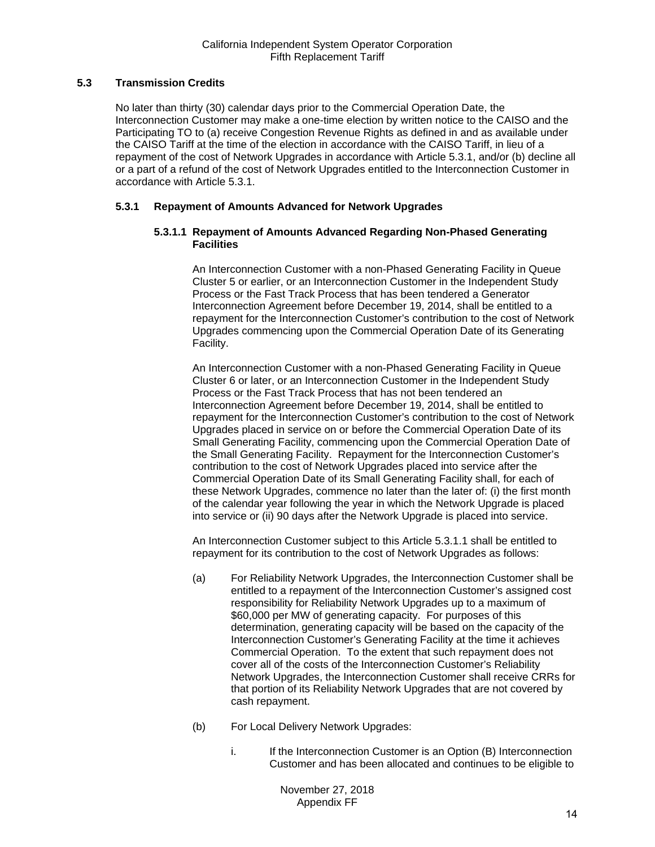# <span id="page-13-0"></span>**5.3 Transmission Credits**

No later than thirty (30) calendar days prior to the Commercial Operation Date, the Interconnection Customer may make a one-time election by written notice to the CAISO and the Participating TO to (a) receive Congestion Revenue Rights as defined in and as available under the CAISO Tariff at the time of the election in accordance with the CAISO Tariff, in lieu of a repayment of the cost of Network Upgrades in accordance with Article 5.3.1, and/or (b) decline all or a part of a refund of the cost of Network Upgrades entitled to the Interconnection Customer in accordance with Article 5.3.1.

## **5.3.1 Repayment of Amounts Advanced for Network Upgrades**

#### **5.3.1.1 Repayment of Amounts Advanced Regarding Non-Phased Generating Facilities**

An Interconnection Customer with a non-Phased Generating Facility in Queue Cluster 5 or earlier, or an Interconnection Customer in the Independent Study Process or the Fast Track Process that has been tendered a Generator Interconnection Agreement before December 19, 2014, shall be entitled to a repayment for the Interconnection Customer's contribution to the cost of Network Upgrades commencing upon the Commercial Operation Date of its Generating Facility.

An Interconnection Customer with a non-Phased Generating Facility in Queue Cluster 6 or later, or an Interconnection Customer in the Independent Study Process or the Fast Track Process that has not been tendered an Interconnection Agreement before December 19, 2014, shall be entitled to repayment for the Interconnection Customer's contribution to the cost of Network Upgrades placed in service on or before the Commercial Operation Date of its Small Generating Facility, commencing upon the Commercial Operation Date of the Small Generating Facility. Repayment for the Interconnection Customer's contribution to the cost of Network Upgrades placed into service after the Commercial Operation Date of its Small Generating Facility shall, for each of these Network Upgrades, commence no later than the later of: (i) the first month of the calendar year following the year in which the Network Upgrade is placed into service or (ii) 90 days after the Network Upgrade is placed into service.

An Interconnection Customer subject to this Article 5.3.1.1 shall be entitled to repayment for its contribution to the cost of Network Upgrades as follows:

- (a) For Reliability Network Upgrades, the Interconnection Customer shall be entitled to a repayment of the Interconnection Customer's assigned cost responsibility for Reliability Network Upgrades up to a maximum of \$60,000 per MW of generating capacity. For purposes of this determination, generating capacity will be based on the capacity of the Interconnection Customer's Generating Facility at the time it achieves Commercial Operation. To the extent that such repayment does not cover all of the costs of the Interconnection Customer's Reliability Network Upgrades, the Interconnection Customer shall receive CRRs for that portion of its Reliability Network Upgrades that are not covered by cash repayment.
- (b) For Local Delivery Network Upgrades:
	- i. If the Interconnection Customer is an Option (B) Interconnection Customer and has been allocated and continues to be eligible to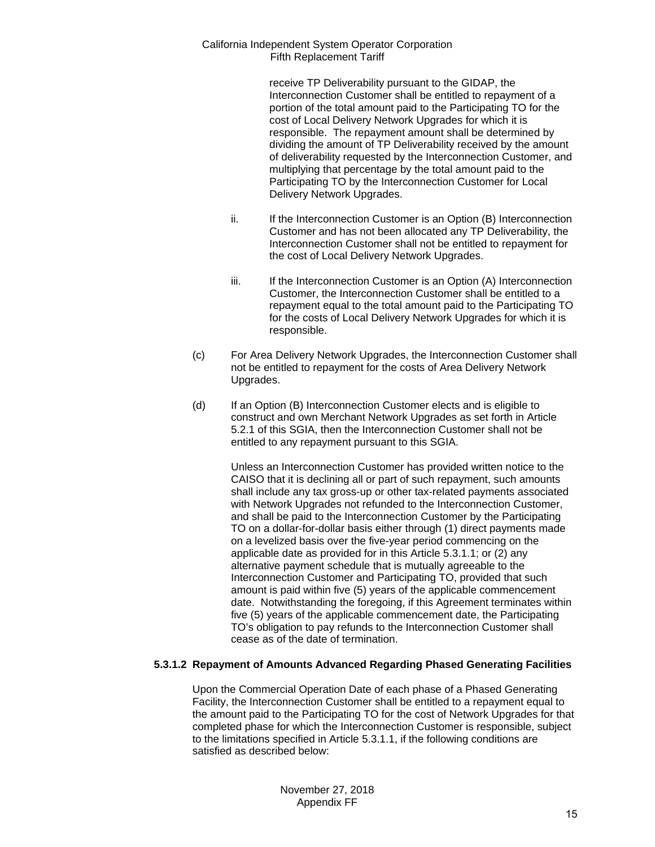> receive TP Deliverability pursuant to the GIDAP, the Interconnection Customer shall be entitled to repayment of a portion of the total amount paid to the Participating TO for the cost of Local Delivery Network Upgrades for which it is responsible. The repayment amount shall be determined by dividing the amount of TP Deliverability received by the amount of deliverability requested by the Interconnection Customer, and multiplying that percentage by the total amount paid to the Participating TO by the Interconnection Customer for Local Delivery Network Upgrades.

- ii. If the Interconnection Customer is an Option (B) Interconnection Customer and has not been allocated any TP Deliverability, the Interconnection Customer shall not be entitled to repayment for the cost of Local Delivery Network Upgrades.
- iii. If the Interconnection Customer is an Option (A) Interconnection Customer, the Interconnection Customer shall be entitled to a repayment equal to the total amount paid to the Participating TO for the costs of Local Delivery Network Upgrades for which it is responsible.
- (c) For Area Delivery Network Upgrades, the Interconnection Customer shall not be entitled to repayment for the costs of Area Delivery Network Upgrades.
- (d) If an Option (B) Interconnection Customer elects and is eligible to construct and own Merchant Network Upgrades as set forth in Article 5.2.1 of this SGIA, then the Interconnection Customer shall not be entitled to any repayment pursuant to this SGIA.

Unless an Interconnection Customer has provided written notice to the CAISO that it is declining all or part of such repayment, such amounts shall include any tax gross-up or other tax-related payments associated with Network Upgrades not refunded to the Interconnection Customer, and shall be paid to the Interconnection Customer by the Participating TO on a dollar-for-dollar basis either through (1) direct payments made on a levelized basis over the five-year period commencing on the applicable date as provided for in this Article 5.3.1.1; or (2) any alternative payment schedule that is mutually agreeable to the Interconnection Customer and Participating TO, provided that such amount is paid within five (5) years of the applicable commencement date. Notwithstanding the foregoing, if this Agreement terminates within five (5) years of the applicable commencement date, the Participating TO's obligation to pay refunds to the Interconnection Customer shall cease as of the date of termination.

# **5.3.1.2 Repayment of Amounts Advanced Regarding Phased Generating Facilities**

Upon the Commercial Operation Date of each phase of a Phased Generating Facility, the Interconnection Customer shall be entitled to a repayment equal to the amount paid to the Participating TO for the cost of Network Upgrades for that completed phase for which the Interconnection Customer is responsible, subject to the limitations specified in Article 5.3.1.1, if the following conditions are satisfied as described below: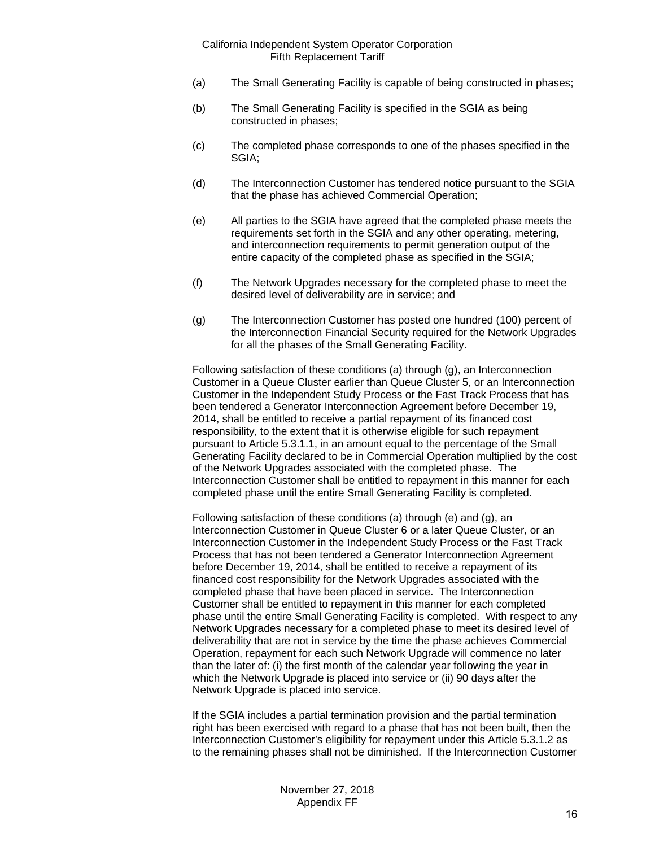- (a) The Small Generating Facility is capable of being constructed in phases;
- (b) The Small Generating Facility is specified in the SGIA as being constructed in phases;
- (c) The completed phase corresponds to one of the phases specified in the SGIA;
- (d) The Interconnection Customer has tendered notice pursuant to the SGIA that the phase has achieved Commercial Operation;
- (e) All parties to the SGIA have agreed that the completed phase meets the requirements set forth in the SGIA and any other operating, metering, and interconnection requirements to permit generation output of the entire capacity of the completed phase as specified in the SGIA;
- (f) The Network Upgrades necessary for the completed phase to meet the desired level of deliverability are in service; and
- (g) The Interconnection Customer has posted one hundred (100) percent of the Interconnection Financial Security required for the Network Upgrades for all the phases of the Small Generating Facility.

Following satisfaction of these conditions (a) through (g), an Interconnection Customer in a Queue Cluster earlier than Queue Cluster 5, or an Interconnection Customer in the Independent Study Process or the Fast Track Process that has been tendered a Generator Interconnection Agreement before December 19, 2014, shall be entitled to receive a partial repayment of its financed cost responsibility, to the extent that it is otherwise eligible for such repayment pursuant to Article 5.3.1.1, in an amount equal to the percentage of the Small Generating Facility declared to be in Commercial Operation multiplied by the cost of the Network Upgrades associated with the completed phase. The Interconnection Customer shall be entitled to repayment in this manner for each completed phase until the entire Small Generating Facility is completed.

Following satisfaction of these conditions (a) through (e) and (g), an Interconnection Customer in Queue Cluster 6 or a later Queue Cluster, or an Interconnection Customer in the Independent Study Process or the Fast Track Process that has not been tendered a Generator Interconnection Agreement before December 19, 2014, shall be entitled to receive a repayment of its financed cost responsibility for the Network Upgrades associated with the completed phase that have been placed in service. The Interconnection Customer shall be entitled to repayment in this manner for each completed phase until the entire Small Generating Facility is completed. With respect to any Network Upgrades necessary for a completed phase to meet its desired level of deliverability that are not in service by the time the phase achieves Commercial Operation, repayment for each such Network Upgrade will commence no later than the later of: (i) the first month of the calendar year following the year in which the Network Upgrade is placed into service or (ii) 90 days after the Network Upgrade is placed into service.

If the SGIA includes a partial termination provision and the partial termination right has been exercised with regard to a phase that has not been built, then the Interconnection Customer's eligibility for repayment under this Article 5.3.1.2 as to the remaining phases shall not be diminished. If the Interconnection Customer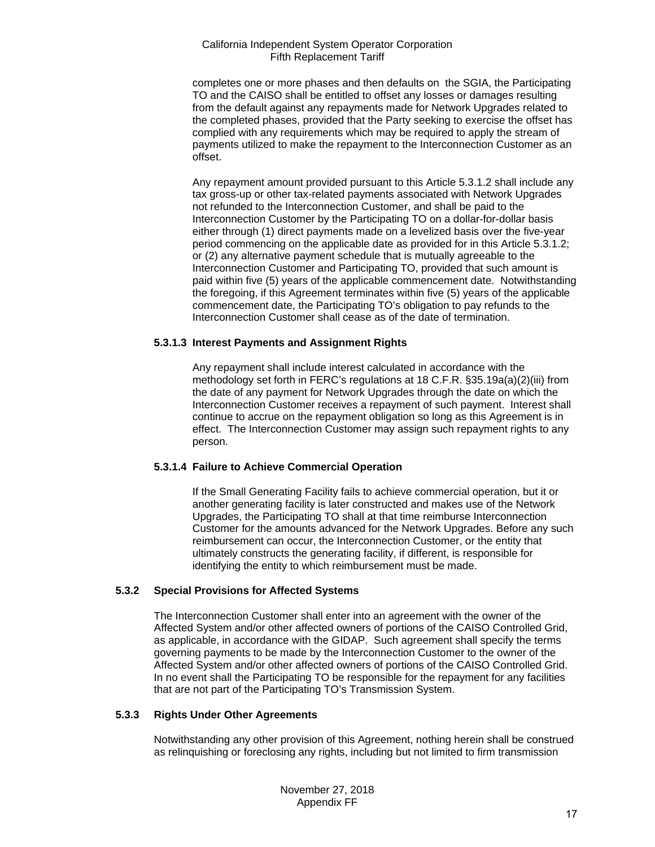completes one or more phases and then defaults on the SGIA, the Participating TO and the CAISO shall be entitled to offset any losses or damages resulting from the default against any repayments made for Network Upgrades related to the completed phases, provided that the Party seeking to exercise the offset has complied with any requirements which may be required to apply the stream of payments utilized to make the repayment to the Interconnection Customer as an offset.

Any repayment amount provided pursuant to this Article 5.3.1.2 shall include any tax gross-up or other tax-related payments associated with Network Upgrades not refunded to the Interconnection Customer, and shall be paid to the Interconnection Customer by the Participating TO on a dollar-for-dollar basis either through (1) direct payments made on a levelized basis over the five-year period commencing on the applicable date as provided for in this Article 5.3.1.2; or (2) any alternative payment schedule that is mutually agreeable to the Interconnection Customer and Participating TO, provided that such amount is paid within five (5) years of the applicable commencement date. Notwithstanding the foregoing, if this Agreement terminates within five (5) years of the applicable commencement date, the Participating TO's obligation to pay refunds to the Interconnection Customer shall cease as of the date of termination.

## **5.3.1.3 Interest Payments and Assignment Rights**

Any repayment shall include interest calculated in accordance with the methodology set forth in FERC's regulations at 18 C.F.R. §35.19a(a)(2)(iii) from the date of any payment for Network Upgrades through the date on which the Interconnection Customer receives a repayment of such payment. Interest shall continue to accrue on the repayment obligation so long as this Agreement is in effect. The Interconnection Customer may assign such repayment rights to any person.

# **5.3.1.4 Failure to Achieve Commercial Operation**

If the Small Generating Facility fails to achieve commercial operation, but it or another generating facility is later constructed and makes use of the Network Upgrades, the Participating TO shall at that time reimburse Interconnection Customer for the amounts advanced for the Network Upgrades. Before any such reimbursement can occur, the Interconnection Customer, or the entity that ultimately constructs the generating facility, if different, is responsible for identifying the entity to which reimbursement must be made.

# **5.3.2 Special Provisions for Affected Systems**

The Interconnection Customer shall enter into an agreement with the owner of the Affected System and/or other affected owners of portions of the CAISO Controlled Grid, as applicable, in accordance with the GIDAP. Such agreement shall specify the terms governing payments to be made by the Interconnection Customer to the owner of the Affected System and/or other affected owners of portions of the CAISO Controlled Grid. In no event shall the Participating TO be responsible for the repayment for any facilities that are not part of the Participating TO's Transmission System.

# **5.3.3 Rights Under Other Agreements**

Notwithstanding any other provision of this Agreement, nothing herein shall be construed as relinquishing or foreclosing any rights, including but not limited to firm transmission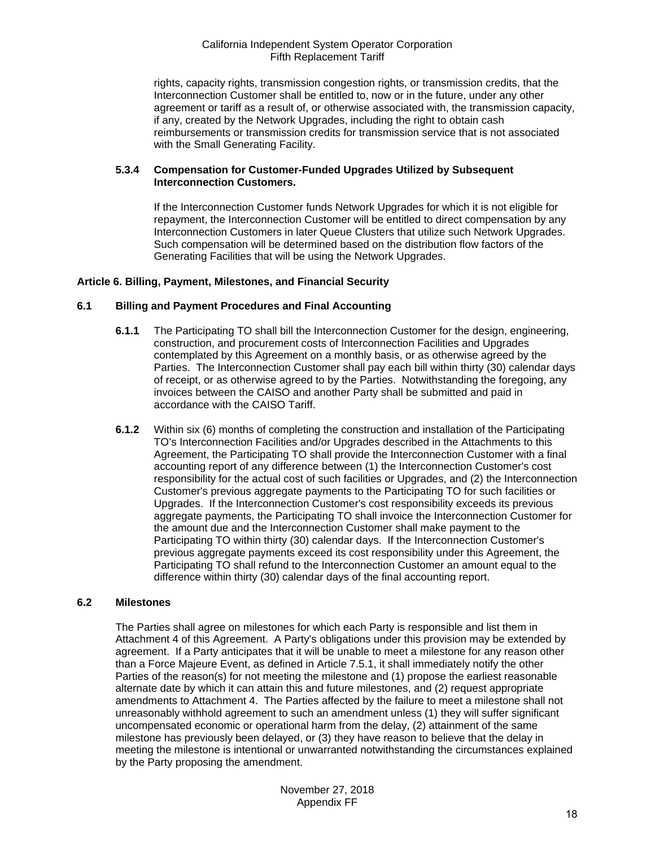rights, capacity rights, transmission congestion rights, or transmission credits, that the Interconnection Customer shall be entitled to, now or in the future, under any other agreement or tariff as a result of, or otherwise associated with, the transmission capacity, if any, created by the Network Upgrades, including the right to obtain cash reimbursements or transmission credits for transmission service that is not associated with the Small Generating Facility.

# **5.3.4 Compensation for Customer-Funded Upgrades Utilized by Subsequent Interconnection Customers.**

If the Interconnection Customer funds Network Upgrades for which it is not eligible for repayment, the Interconnection Customer will be entitled to direct compensation by any Interconnection Customers in later Queue Clusters that utilize such Network Upgrades. Such compensation will be determined based on the distribution flow factors of the Generating Facilities that will be using the Network Upgrades.

# <span id="page-17-0"></span>**Article 6. Billing, Payment, Milestones, and Financial Security**

#### <span id="page-17-1"></span>**6.1 Billing and Payment Procedures and Final Accounting**

- **6.1.1** The Participating TO shall bill the Interconnection Customer for the design, engineering, construction, and procurement costs of Interconnection Facilities and Upgrades contemplated by this Agreement on a monthly basis, or as otherwise agreed by the Parties. The Interconnection Customer shall pay each bill within thirty (30) calendar days of receipt, or as otherwise agreed to by the Parties. Notwithstanding the foregoing, any invoices between the CAISO and another Party shall be submitted and paid in accordance with the CAISO Tariff.
- **6.1.2** Within six (6) months of completing the construction and installation of the Participating TO's Interconnection Facilities and/or Upgrades described in the Attachments to this Agreement, the Participating TO shall provide the Interconnection Customer with a final accounting report of any difference between (1) the Interconnection Customer's cost responsibility for the actual cost of such facilities or Upgrades, and (2) the Interconnection Customer's previous aggregate payments to the Participating TO for such facilities or Upgrades. If the Interconnection Customer's cost responsibility exceeds its previous aggregate payments, the Participating TO shall invoice the Interconnection Customer for the amount due and the Interconnection Customer shall make payment to the Participating TO within thirty (30) calendar days. If the Interconnection Customer's previous aggregate payments exceed its cost responsibility under this Agreement, the Participating TO shall refund to the Interconnection Customer an amount equal to the difference within thirty (30) calendar days of the final accounting report.

#### <span id="page-17-2"></span>**6.2 Milestones**

The Parties shall agree on milestones for which each Party is responsible and list them in Attachment 4 of this Agreement. A Party's obligations under this provision may be extended by agreement. If a Party anticipates that it will be unable to meet a milestone for any reason other than a Force Majeure Event, as defined in Article 7.5.1, it shall immediately notify the other Parties of the reason(s) for not meeting the milestone and (1) propose the earliest reasonable alternate date by which it can attain this and future milestones, and (2) request appropriate amendments to Attachment 4. The Parties affected by the failure to meet a milestone shall not unreasonably withhold agreement to such an amendment unless (1) they will suffer significant uncompensated economic or operational harm from the delay, (2) attainment of the same milestone has previously been delayed, or (3) they have reason to believe that the delay in meeting the milestone is intentional or unwarranted notwithstanding the circumstances explained by the Party proposing the amendment.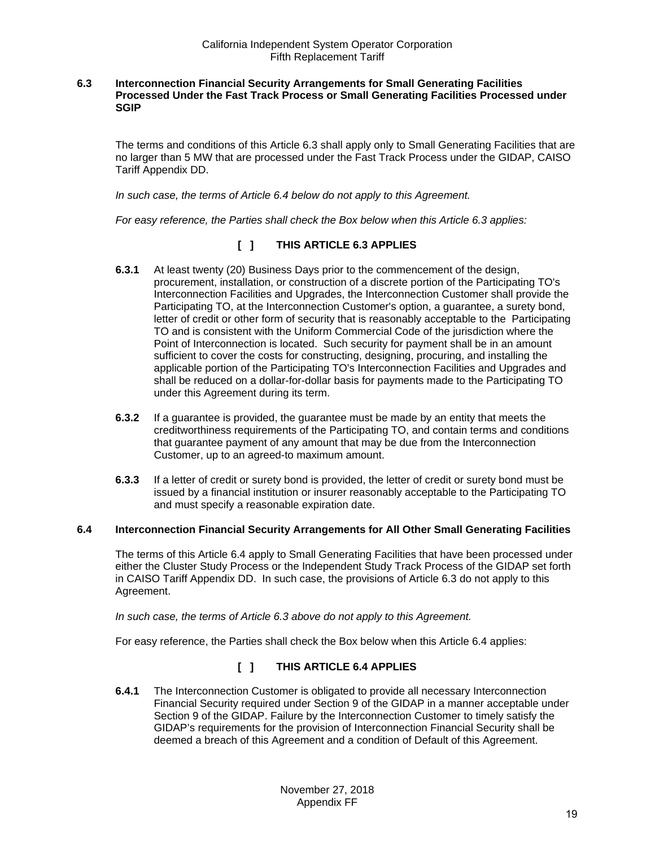#### <span id="page-18-0"></span>**6.3 Interconnection Financial Security Arrangements for Small Generating Facilities Processed Under the Fast Track Process or Small Generating Facilities Processed under SGIP**

The terms and conditions of this Article 6.3 shall apply only to Small Generating Facilities that are no larger than 5 MW that are processed under the Fast Track Process under the GIDAP, CAISO Tariff Appendix DD.

*In such case, the terms of Article 6.4 below do not apply to this Agreement.*

*For easy reference, the Parties shall check the Box below when this Article 6.3 applies:* 

# **[ ] THIS ARTICLE 6.3 APPLIES**

- **6.3.1** At least twenty (20) Business Days prior to the commencement of the design, procurement, installation, or construction of a discrete portion of the Participating TO's Interconnection Facilities and Upgrades, the Interconnection Customer shall provide the Participating TO, at the Interconnection Customer's option, a guarantee, a surety bond, letter of credit or other form of security that is reasonably acceptable to the Participating TO and is consistent with the Uniform Commercial Code of the jurisdiction where the Point of Interconnection is located. Such security for payment shall be in an amount sufficient to cover the costs for constructing, designing, procuring, and installing the applicable portion of the Participating TO's Interconnection Facilities and Upgrades and shall be reduced on a dollar-for-dollar basis for payments made to the Participating TO under this Agreement during its term.
- **6.3.2** If a guarantee is provided, the guarantee must be made by an entity that meets the creditworthiness requirements of the Participating TO, and contain terms and conditions that guarantee payment of any amount that may be due from the Interconnection Customer, up to an agreed-to maximum amount.
- **6.3.3** If a letter of credit or surety bond is provided, the letter of credit or surety bond must be issued by a financial institution or insurer reasonably acceptable to the Participating TO and must specify a reasonable expiration date.

#### <span id="page-18-1"></span>**6.4 Interconnection Financial Security Arrangements for All Other Small Generating Facilities**

The terms of this Article 6.4 apply to Small Generating Facilities that have been processed under either the Cluster Study Process or the Independent Study Track Process of the GIDAP set forth in CAISO Tariff Appendix DD. In such case, the provisions of Article 6.3 do not apply to this Agreement.

*In such case, the terms of Article 6.3 above do not apply to this Agreement.* 

For easy reference, the Parties shall check the Box below when this Article 6.4 applies:

# **[ ] THIS ARTICLE 6.4 APPLIES**

**6.4.1** The Interconnection Customer is obligated to provide all necessary Interconnection Financial Security required under Section 9 of the GIDAP in a manner acceptable under Section 9 of the GIDAP. Failure by the Interconnection Customer to timely satisfy the GIDAP's requirements for the provision of Interconnection Financial Security shall be deemed a breach of this Agreement and a condition of Default of this Agreement.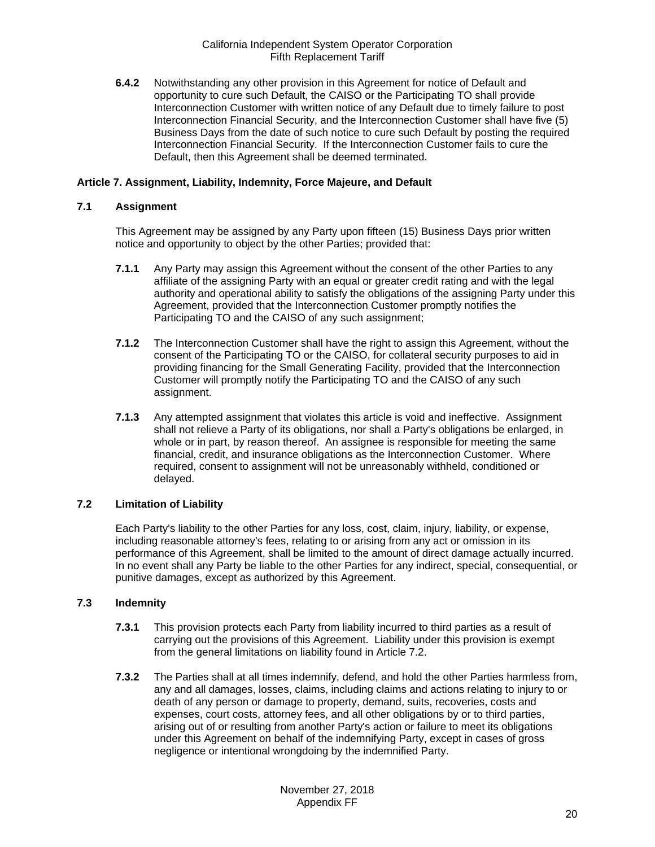**6.4.2** Notwithstanding any other provision in this Agreement for notice of Default and opportunity to cure such Default, the CAISO or the Participating TO shall provide Interconnection Customer with written notice of any Default due to timely failure to post Interconnection Financial Security, and the Interconnection Customer shall have five (5) Business Days from the date of such notice to cure such Default by posting the required Interconnection Financial Security. If the Interconnection Customer fails to cure the Default, then this Agreement shall be deemed terminated.

# <span id="page-19-0"></span>**Article 7. Assignment, Liability, Indemnity, Force Majeure, and Default**

# <span id="page-19-1"></span>**7.1 Assignment**

This Agreement may be assigned by any Party upon fifteen (15) Business Days prior written notice and opportunity to object by the other Parties; provided that:

- **7.1.1** Any Party may assign this Agreement without the consent of the other Parties to any affiliate of the assigning Party with an equal or greater credit rating and with the legal authority and operational ability to satisfy the obligations of the assigning Party under this Agreement, provided that the Interconnection Customer promptly notifies the Participating TO and the CAISO of any such assignment;
- **7.1.2** The Interconnection Customer shall have the right to assign this Agreement, without the consent of the Participating TO or the CAISO, for collateral security purposes to aid in providing financing for the Small Generating Facility, provided that the Interconnection Customer will promptly notify the Participating TO and the CAISO of any such assignment.
- **7.1.3** Any attempted assignment that violates this article is void and ineffective. Assignment shall not relieve a Party of its obligations, nor shall a Party's obligations be enlarged, in whole or in part, by reason thereof. An assignee is responsible for meeting the same financial, credit, and insurance obligations as the Interconnection Customer. Where required, consent to assignment will not be unreasonably withheld, conditioned or delayed.

# <span id="page-19-2"></span>**7.2 Limitation of Liability**

Each Party's liability to the other Parties for any loss, cost, claim, injury, liability, or expense, including reasonable attorney's fees, relating to or arising from any act or omission in its performance of this Agreement, shall be limited to the amount of direct damage actually incurred. In no event shall any Party be liable to the other Parties for any indirect, special, consequential, or punitive damages, except as authorized by this Agreement.

# <span id="page-19-3"></span>**7.3 Indemnity**

- **7.3.1** This provision protects each Party from liability incurred to third parties as a result of carrying out the provisions of this Agreement. Liability under this provision is exempt from the general limitations on liability found in Article 7.2.
- **7.3.2** The Parties shall at all times indemnify, defend, and hold the other Parties harmless from, any and all damages, losses, claims, including claims and actions relating to injury to or death of any person or damage to property, demand, suits, recoveries, costs and expenses, court costs, attorney fees, and all other obligations by or to third parties, arising out of or resulting from another Party's action or failure to meet its obligations under this Agreement on behalf of the indemnifying Party, except in cases of gross negligence or intentional wrongdoing by the indemnified Party.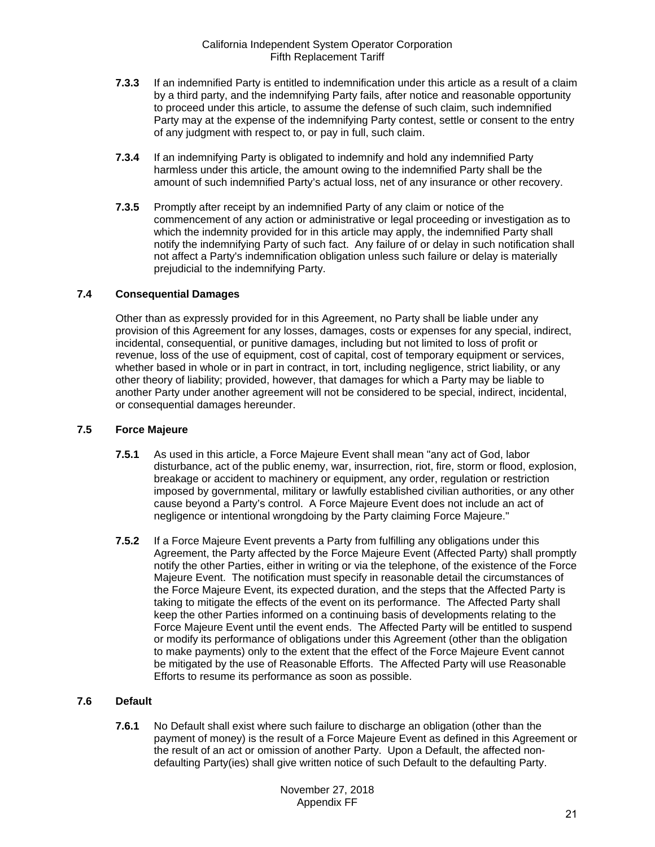- **7.3.3** If an indemnified Party is entitled to indemnification under this article as a result of a claim by a third party, and the indemnifying Party fails, after notice and reasonable opportunity to proceed under this article, to assume the defense of such claim, such indemnified Party may at the expense of the indemnifying Party contest, settle or consent to the entry of any judgment with respect to, or pay in full, such claim.
- **7.3.4** If an indemnifying Party is obligated to indemnify and hold any indemnified Party harmless under this article, the amount owing to the indemnified Party shall be the amount of such indemnified Party's actual loss, net of any insurance or other recovery.
- **7.3.5** Promptly after receipt by an indemnified Party of any claim or notice of the commencement of any action or administrative or legal proceeding or investigation as to which the indemnity provided for in this article may apply, the indemnified Party shall notify the indemnifying Party of such fact. Any failure of or delay in such notification shall not affect a Party's indemnification obligation unless such failure or delay is materially prejudicial to the indemnifying Party.

# <span id="page-20-0"></span>**7.4 Consequential Damages**

Other than as expressly provided for in this Agreement, no Party shall be liable under any provision of this Agreement for any losses, damages, costs or expenses for any special, indirect, incidental, consequential, or punitive damages, including but not limited to loss of profit or revenue, loss of the use of equipment, cost of capital, cost of temporary equipment or services, whether based in whole or in part in contract, in tort, including negligence, strict liability, or any other theory of liability; provided, however, that damages for which a Party may be liable to another Party under another agreement will not be considered to be special, indirect, incidental, or consequential damages hereunder.

# <span id="page-20-1"></span>**7.5 Force Majeure**

- **7.5.1** As used in this article, a Force Majeure Event shall mean "any act of God, labor disturbance, act of the public enemy, war, insurrection, riot, fire, storm or flood, explosion, breakage or accident to machinery or equipment, any order, regulation or restriction imposed by governmental, military or lawfully established civilian authorities, or any other cause beyond a Party's control. A Force Majeure Event does not include an act of negligence or intentional wrongdoing by the Party claiming Force Majeure."
- **7.5.2** If a Force Majeure Event prevents a Party from fulfilling any obligations under this Agreement, the Party affected by the Force Majeure Event (Affected Party) shall promptly notify the other Parties, either in writing or via the telephone, of the existence of the Force Majeure Event. The notification must specify in reasonable detail the circumstances of the Force Majeure Event, its expected duration, and the steps that the Affected Party is taking to mitigate the effects of the event on its performance. The Affected Party shall keep the other Parties informed on a continuing basis of developments relating to the Force Majeure Event until the event ends. The Affected Party will be entitled to suspend or modify its performance of obligations under this Agreement (other than the obligation to make payments) only to the extent that the effect of the Force Majeure Event cannot be mitigated by the use of Reasonable Efforts. The Affected Party will use Reasonable Efforts to resume its performance as soon as possible.

# <span id="page-20-2"></span>**7.6 Default**

**7.6.1** No Default shall exist where such failure to discharge an obligation (other than the payment of money) is the result of a Force Majeure Event as defined in this Agreement or the result of an act or omission of another Party. Upon a Default, the affected nondefaulting Party(ies) shall give written notice of such Default to the defaulting Party.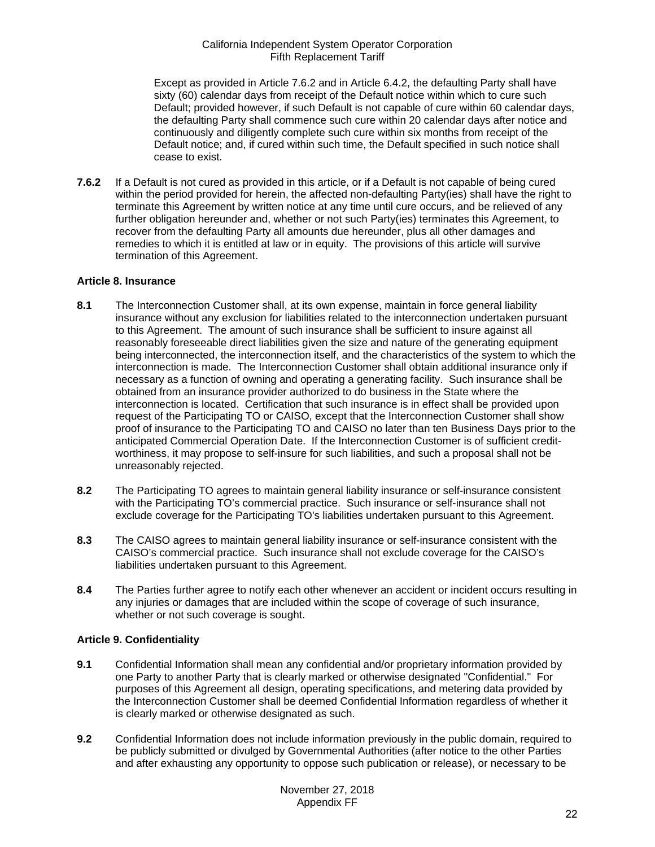Except as provided in Article 7.6.2 and in Article 6.4.2, the defaulting Party shall have sixty (60) calendar days from receipt of the Default notice within which to cure such Default; provided however, if such Default is not capable of cure within 60 calendar days, the defaulting Party shall commence such cure within 20 calendar days after notice and continuously and diligently complete such cure within six months from receipt of the Default notice; and, if cured within such time, the Default specified in such notice shall cease to exist.

**7.6.2** If a Default is not cured as provided in this article, or if a Default is not capable of being cured within the period provided for herein, the affected non-defaulting Party(ies) shall have the right to terminate this Agreement by written notice at any time until cure occurs, and be relieved of any further obligation hereunder and, whether or not such Party(ies) terminates this Agreement, to recover from the defaulting Party all amounts due hereunder, plus all other damages and remedies to which it is entitled at law or in equity. The provisions of this article will survive termination of this Agreement.

# <span id="page-21-0"></span>**Article 8. Insurance**

- <span id="page-21-1"></span>**8.1** The Interconnection Customer shall, at its own expense, maintain in force general liability insurance without any exclusion for liabilities related to the interconnection undertaken pursuant to this Agreement. The amount of such insurance shall be sufficient to insure against all reasonably foreseeable direct liabilities given the size and nature of the generating equipment being interconnected, the interconnection itself, and the characteristics of the system to which the interconnection is made. The Interconnection Customer shall obtain additional insurance only if necessary as a function of owning and operating a generating facility. Such insurance shall be obtained from an insurance provider authorized to do business in the State where the interconnection is located. Certification that such insurance is in effect shall be provided upon request of the Participating TO or CAISO, except that the Interconnection Customer shall show proof of insurance to the Participating TO and CAISO no later than ten Business Days prior to the anticipated Commercial Operation Date. If the Interconnection Customer is of sufficient creditworthiness, it may propose to self-insure for such liabilities, and such a proposal shall not be unreasonably rejected.
- <span id="page-21-2"></span>**8.2** The Participating TO agrees to maintain general liability insurance or self-insurance consistent with the Participating TO's commercial practice. Such insurance or self-insurance shall not exclude coverage for the Participating TO's liabilities undertaken pursuant to this Agreement.
- <span id="page-21-3"></span>**8.3** The CAISO agrees to maintain general liability insurance or self-insurance consistent with the CAISO's commercial practice. Such insurance shall not exclude coverage for the CAISO's liabilities undertaken pursuant to this Agreement.
- <span id="page-21-4"></span>**8.4** The Parties further agree to notify each other whenever an accident or incident occurs resulting in any injuries or damages that are included within the scope of coverage of such insurance, whether or not such coverage is sought.

# <span id="page-21-5"></span>**Article 9. Confidentiality**

- <span id="page-21-6"></span>**9.1** Confidential Information shall mean any confidential and/or proprietary information provided by one Party to another Party that is clearly marked or otherwise designated "Confidential." For purposes of this Agreement all design, operating specifications, and metering data provided by the Interconnection Customer shall be deemed Confidential Information regardless of whether it is clearly marked or otherwise designated as such.
- <span id="page-21-7"></span>**9.2** Confidential Information does not include information previously in the public domain, required to be publicly submitted or divulged by Governmental Authorities (after notice to the other Parties and after exhausting any opportunity to oppose such publication or release), or necessary to be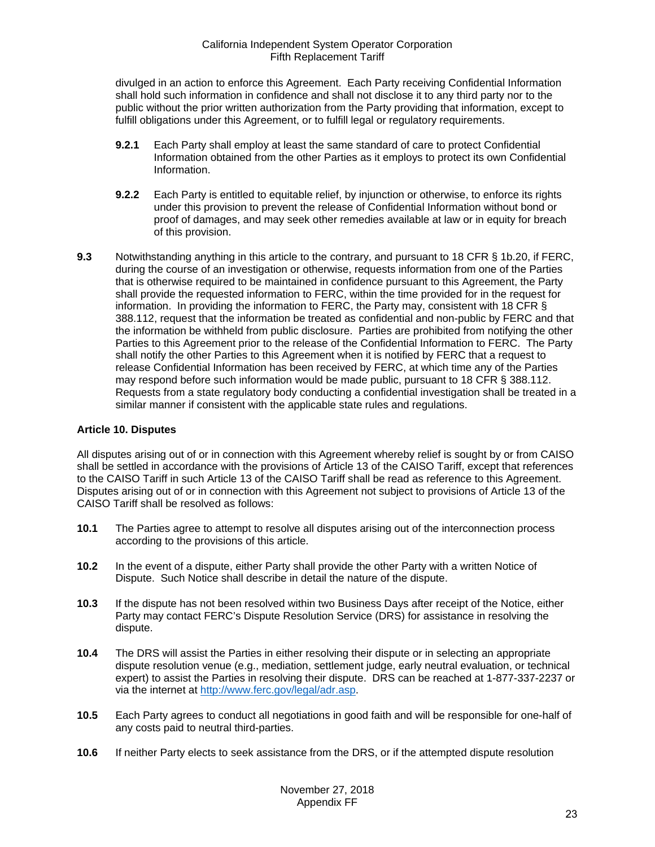divulged in an action to enforce this Agreement. Each Party receiving Confidential Information shall hold such information in confidence and shall not disclose it to any third party nor to the public without the prior written authorization from the Party providing that information, except to fulfill obligations under this Agreement, or to fulfill legal or regulatory requirements.

- **9.2.1** Each Party shall employ at least the same standard of care to protect Confidential Information obtained from the other Parties as it employs to protect its own Confidential Information.
- **9.2.2** Each Party is entitled to equitable relief, by injunction or otherwise, to enforce its rights under this provision to prevent the release of Confidential Information without bond or proof of damages, and may seek other remedies available at law or in equity for breach of this provision.
- <span id="page-22-0"></span>**9.3** Notwithstanding anything in this article to the contrary, and pursuant to 18 CFR § 1b.20, if FERC, during the course of an investigation or otherwise, requests information from one of the Parties that is otherwise required to be maintained in confidence pursuant to this Agreement, the Party shall provide the requested information to FERC, within the time provided for in the request for information. In providing the information to FERC, the Party may, consistent with 18 CFR § 388.112, request that the information be treated as confidential and non-public by FERC and that the information be withheld from public disclosure. Parties are prohibited from notifying the other Parties to this Agreement prior to the release of the Confidential Information to FERC. The Party shall notify the other Parties to this Agreement when it is notified by FERC that a request to release Confidential Information has been received by FERC, at which time any of the Parties may respond before such information would be made public, pursuant to 18 CFR § 388.112. Requests from a state regulatory body conducting a confidential investigation shall be treated in a similar manner if consistent with the applicable state rules and regulations.

# <span id="page-22-1"></span>**Article 10. Disputes**

All disputes arising out of or in connection with this Agreement whereby relief is sought by or from CAISO shall be settled in accordance with the provisions of Article 13 of the CAISO Tariff, except that references to the CAISO Tariff in such Article 13 of the CAISO Tariff shall be read as reference to this Agreement. Disputes arising out of or in connection with this Agreement not subject to provisions of Article 13 of the CAISO Tariff shall be resolved as follows:

- <span id="page-22-2"></span>**10.1** The Parties agree to attempt to resolve all disputes arising out of the interconnection process according to the provisions of this article.
- <span id="page-22-3"></span>**10.2** In the event of a dispute, either Party shall provide the other Party with a written Notice of Dispute. Such Notice shall describe in detail the nature of the dispute.
- <span id="page-22-4"></span>**10.3** If the dispute has not been resolved within two Business Days after receipt of the Notice, either Party may contact FERC's Dispute Resolution Service (DRS) for assistance in resolving the dispute.
- <span id="page-22-5"></span>**10.4** The DRS will assist the Parties in either resolving their dispute or in selecting an appropriate dispute resolution venue (e.g., mediation, settlement judge, early neutral evaluation, or technical expert) to assist the Parties in resolving their dispute. DRS can be reached at 1-877-337-2237 or via the internet at [http://www.ferc.gov/legal/adr.asp.](http://www.ferc.gov/legal/adr.asp)
- <span id="page-22-6"></span>**10.5** Each Party agrees to conduct all negotiations in good faith and will be responsible for one-half of any costs paid to neutral third-parties.
- <span id="page-22-7"></span>**10.6** If neither Party elects to seek assistance from the DRS, or if the attempted dispute resolution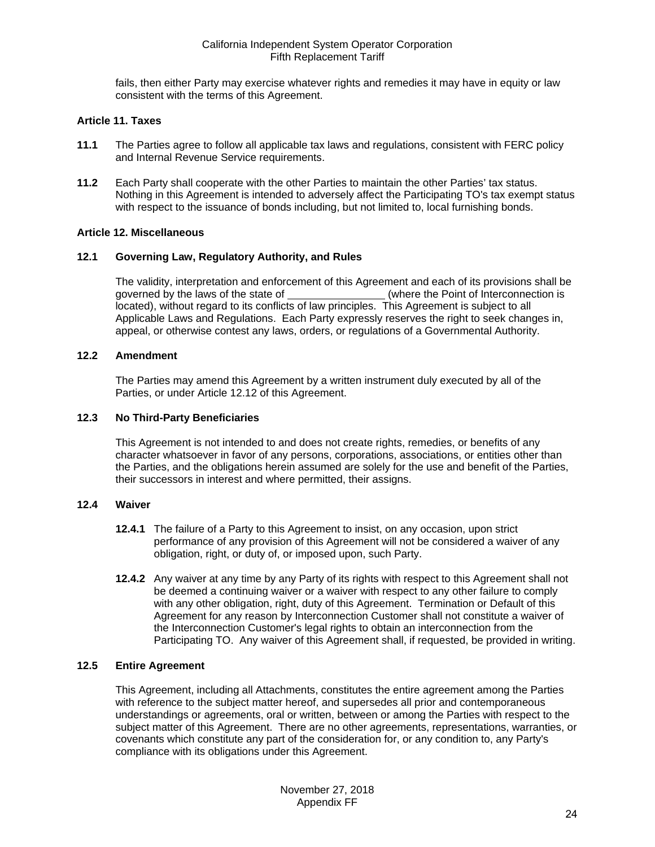fails, then either Party may exercise whatever rights and remedies it may have in equity or law consistent with the terms of this Agreement.

# <span id="page-23-0"></span>**Article 11. Taxes**

- <span id="page-23-1"></span>**11.1** The Parties agree to follow all applicable tax laws and regulations, consistent with FERC policy and Internal Revenue Service requirements.
- <span id="page-23-2"></span>**11.2** Each Party shall cooperate with the other Parties to maintain the other Parties' tax status. Nothing in this Agreement is intended to adversely affect the Participating TO's tax exempt status with respect to the issuance of bonds including, but not limited to, local furnishing bonds.

# <span id="page-23-3"></span>**Article 12. Miscellaneous**

#### <span id="page-23-4"></span>**12.1 Governing Law, Regulatory Authority, and Rules**

The validity, interpretation and enforcement of this Agreement and each of its provisions shall be governed by the laws of the state of (where the Point of Interconnection is located), without regard to its conflicts of law principles. This Agreement is subject to all Applicable Laws and Regulations. Each Party expressly reserves the right to seek changes in, appeal, or otherwise contest any laws, orders, or regulations of a Governmental Authority.

# <span id="page-23-5"></span>**12.2 Amendment**

The Parties may amend this Agreement by a written instrument duly executed by all of the Parties, or under Article 12.12 of this Agreement.

#### <span id="page-23-6"></span>**12.3 No Third-Party Beneficiaries**

This Agreement is not intended to and does not create rights, remedies, or benefits of any character whatsoever in favor of any persons, corporations, associations, or entities other than the Parties, and the obligations herein assumed are solely for the use and benefit of the Parties, their successors in interest and where permitted, their assigns.

#### <span id="page-23-7"></span>**12.4 Waiver**

- **12.4.1** The failure of a Party to this Agreement to insist, on any occasion, upon strict performance of any provision of this Agreement will not be considered a waiver of any obligation, right, or duty of, or imposed upon, such Party.
- **12.4.2** Any waiver at any time by any Party of its rights with respect to this Agreement shall not be deemed a continuing waiver or a waiver with respect to any other failure to comply with any other obligation, right, duty of this Agreement. Termination or Default of this Agreement for any reason by Interconnection Customer shall not constitute a waiver of the Interconnection Customer's legal rights to obtain an interconnection from the Participating TO. Any waiver of this Agreement shall, if requested, be provided in writing.

# <span id="page-23-8"></span>**12.5 Entire Agreement**

This Agreement, including all Attachments, constitutes the entire agreement among the Parties with reference to the subject matter hereof, and supersedes all prior and contemporaneous understandings or agreements, oral or written, between or among the Parties with respect to the subject matter of this Agreement. There are no other agreements, representations, warranties, or covenants which constitute any part of the consideration for, or any condition to, any Party's compliance with its obligations under this Agreement.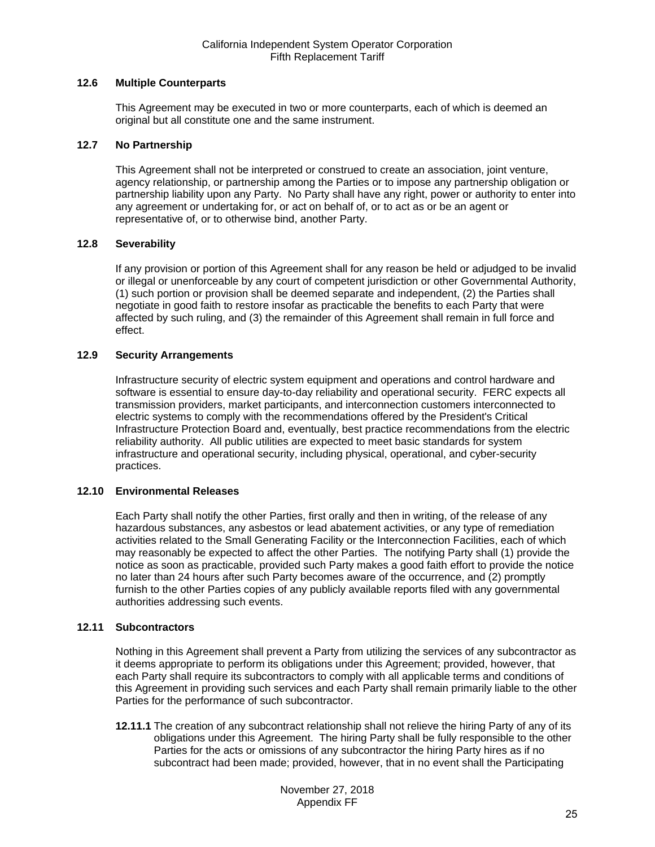# <span id="page-24-0"></span>**12.6 Multiple Counterparts**

This Agreement may be executed in two or more counterparts, each of which is deemed an original but all constitute one and the same instrument.

#### <span id="page-24-1"></span>**12.7 No Partnership**

This Agreement shall not be interpreted or construed to create an association, joint venture, agency relationship, or partnership among the Parties or to impose any partnership obligation or partnership liability upon any Party. No Party shall have any right, power or authority to enter into any agreement or undertaking for, or act on behalf of, or to act as or be an agent or representative of, or to otherwise bind, another Party.

#### <span id="page-24-2"></span>**12.8 Severability**

If any provision or portion of this Agreement shall for any reason be held or adjudged to be invalid or illegal or unenforceable by any court of competent jurisdiction or other Governmental Authority, (1) such portion or provision shall be deemed separate and independent, (2) the Parties shall negotiate in good faith to restore insofar as practicable the benefits to each Party that were affected by such ruling, and (3) the remainder of this Agreement shall remain in full force and effect.

#### <span id="page-24-3"></span>**12.9 Security Arrangements**

Infrastructure security of electric system equipment and operations and control hardware and software is essential to ensure day-to-day reliability and operational security. FERC expects all transmission providers, market participants, and interconnection customers interconnected to electric systems to comply with the recommendations offered by the President's Critical Infrastructure Protection Board and, eventually, best practice recommendations from the electric reliability authority. All public utilities are expected to meet basic standards for system infrastructure and operational security, including physical, operational, and cyber-security practices.

#### <span id="page-24-4"></span>**12.10 Environmental Releases**

Each Party shall notify the other Parties, first orally and then in writing, of the release of any hazardous substances, any asbestos or lead abatement activities, or any type of remediation activities related to the Small Generating Facility or the Interconnection Facilities, each of which may reasonably be expected to affect the other Parties. The notifying Party shall (1) provide the notice as soon as practicable, provided such Party makes a good faith effort to provide the notice no later than 24 hours after such Party becomes aware of the occurrence, and (2) promptly furnish to the other Parties copies of any publicly available reports filed with any governmental authorities addressing such events.

#### <span id="page-24-5"></span>**12.11 Subcontractors**

Nothing in this Agreement shall prevent a Party from utilizing the services of any subcontractor as it deems appropriate to perform its obligations under this Agreement; provided, however, that each Party shall require its subcontractors to comply with all applicable terms and conditions of this Agreement in providing such services and each Party shall remain primarily liable to the other Parties for the performance of such subcontractor.

**12.11.1** The creation of any subcontract relationship shall not relieve the hiring Party of any of its obligations under this Agreement. The hiring Party shall be fully responsible to the other Parties for the acts or omissions of any subcontractor the hiring Party hires as if no subcontract had been made; provided, however, that in no event shall the Participating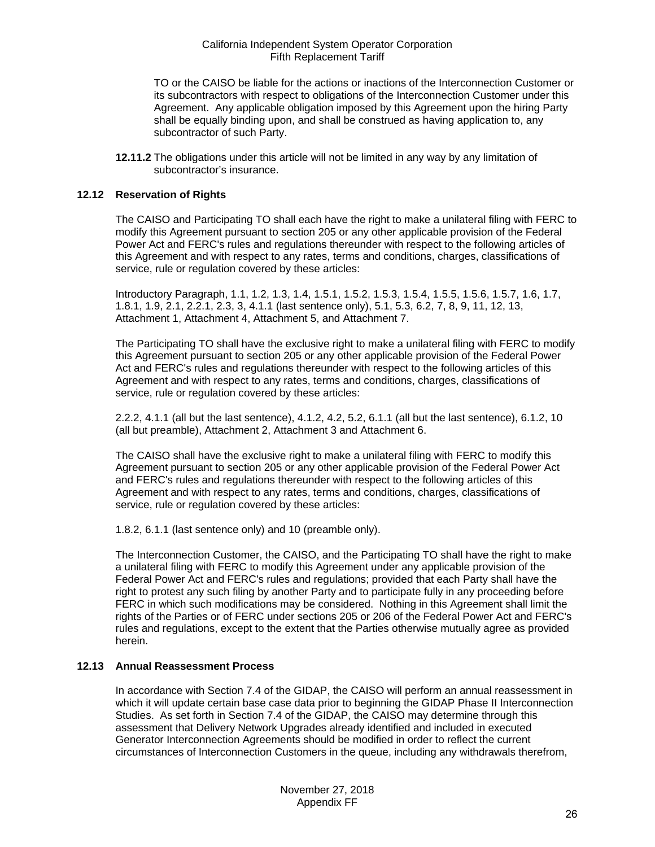TO or the CAISO be liable for the actions or inactions of the Interconnection Customer or its subcontractors with respect to obligations of the Interconnection Customer under this Agreement. Any applicable obligation imposed by this Agreement upon the hiring Party shall be equally binding upon, and shall be construed as having application to, any subcontractor of such Party.

**12.11.2** The obligations under this article will not be limited in any way by any limitation of subcontractor's insurance.

#### <span id="page-25-0"></span>**12.12 Reservation of Rights**

The CAISO and Participating TO shall each have the right to make a unilateral filing with FERC to modify this Agreement pursuant to section 205 or any other applicable provision of the Federal Power Act and FERC's rules and regulations thereunder with respect to the following articles of this Agreement and with respect to any rates, terms and conditions, charges, classifications of service, rule or regulation covered by these articles:

Introductory Paragraph, 1.1, 1.2, 1.3, 1.4, 1.5.1, 1.5.2, 1.5.3, 1.5.4, 1.5.5, 1.5.6, 1.5.7, 1.6, 1.7, 1.8.1, 1.9, 2.1, 2.2.1, 2.3, 3, 4.1.1 (last sentence only), 5.1, 5.3, 6.2, 7, 8, 9, 11, 12, 13, Attachment 1, Attachment 4, Attachment 5, and Attachment 7.

The Participating TO shall have the exclusive right to make a unilateral filing with FERC to modify this Agreement pursuant to section 205 or any other applicable provision of the Federal Power Act and FERC's rules and regulations thereunder with respect to the following articles of this Agreement and with respect to any rates, terms and conditions, charges, classifications of service, rule or regulation covered by these articles:

2.2.2, 4.1.1 (all but the last sentence), 4.1.2, 4.2, 5.2, 6.1.1 (all but the last sentence), 6.1.2, 10 (all but preamble), Attachment 2, Attachment 3 and Attachment 6.

The CAISO shall have the exclusive right to make a unilateral filing with FERC to modify this Agreement pursuant to section 205 or any other applicable provision of the Federal Power Act and FERC's rules and regulations thereunder with respect to the following articles of this Agreement and with respect to any rates, terms and conditions, charges, classifications of service, rule or regulation covered by these articles:

1.8.2, 6.1.1 (last sentence only) and 10 (preamble only).

The Interconnection Customer, the CAISO, and the Participating TO shall have the right to make a unilateral filing with FERC to modify this Agreement under any applicable provision of the Federal Power Act and FERC's rules and regulations; provided that each Party shall have the right to protest any such filing by another Party and to participate fully in any proceeding before FERC in which such modifications may be considered. Nothing in this Agreement shall limit the rights of the Parties or of FERC under sections 205 or 206 of the Federal Power Act and FERC's rules and regulations, except to the extent that the Parties otherwise mutually agree as provided herein.

#### <span id="page-25-1"></span>**12.13 Annual Reassessment Process**

In accordance with Section 7.4 of the GIDAP, the CAISO will perform an annual reassessment in which it will update certain base case data prior to beginning the GIDAP Phase II Interconnection Studies. As set forth in Section 7.4 of the GIDAP, the CAISO may determine through this assessment that Delivery Network Upgrades already identified and included in executed Generator Interconnection Agreements should be modified in order to reflect the current circumstances of Interconnection Customers in the queue, including any withdrawals therefrom,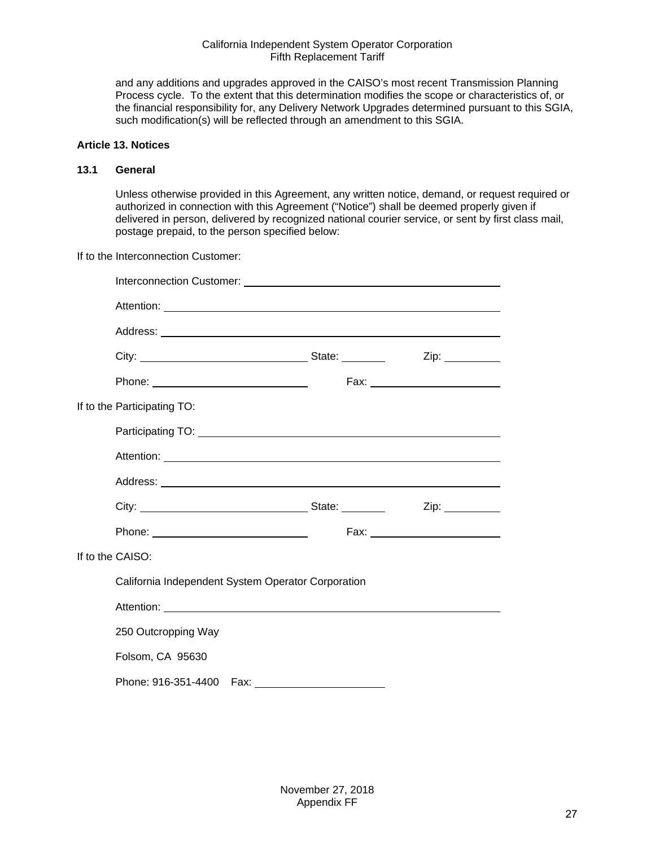and any additions and upgrades approved in the CAISO's most recent Transmission Planning Process cycle. To the extent that this determination modifies the scope or characteristics of, or the financial responsibility for, any Delivery Network Upgrades determined pursuant to this SGIA, such modification(s) will be reflected through an amendment to this SGIA.

# <span id="page-26-0"></span>**Article 13. Notices**

#### <span id="page-26-1"></span>**13.1 General**

Unless otherwise provided in this Agreement, any written notice, demand, or request required or authorized in connection with this Agreement ("Notice") shall be deemed properly given if delivered in person, delivered by recognized national courier service, or sent by first class mail, postage prepaid, to the person specified below:

If to the Interconnection Customer:

|                                                    | Zip: _________                  |
|----------------------------------------------------|---------------------------------|
|                                                    | Fax: __________________________ |
| If to the Participating TO:                        |                                 |
|                                                    |                                 |
|                                                    |                                 |
|                                                    |                                 |
|                                                    |                                 |
|                                                    | Fax: __________________________ |
| If to the CAISO:                                   |                                 |
| California Independent System Operator Corporation |                                 |
|                                                    |                                 |
| 250 Outcropping Way                                |                                 |
| Folsom, CA 95630                                   |                                 |
|                                                    |                                 |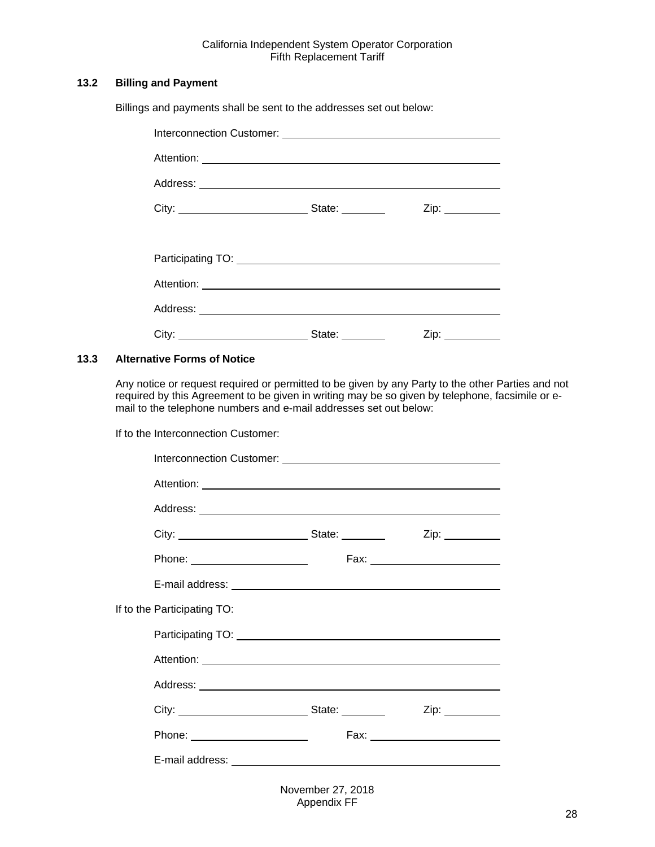# <span id="page-27-0"></span>**13.2 Billing and Payment**

Billings and payments shall be sent to the addresses set out below:

| State: ________ |                  |
|-----------------|------------------|
|                 |                  |
|                 |                  |
|                 |                  |
|                 |                  |
| State: ________ | Zip: ___________ |

#### <span id="page-27-1"></span>**13.3 Alternative Forms of Notice**

Any notice or request required or permitted to be given by any Party to the other Parties and not required by this Agreement to be given in writing may be so given by telephone, facsimile or email to the telephone numbers and e-mail addresses set out below:

If to the Interconnection Customer:

| Phone: ________________________ |                             |
|---------------------------------|-----------------------------|
|                                 |                             |
| If to the Participating TO:     |                             |
|                                 |                             |
|                                 |                             |
|                                 |                             |
|                                 | Zip:                        |
| Phone: ________________________ | Fax: $\qquad \qquad \qquad$ |
|                                 |                             |
|                                 |                             |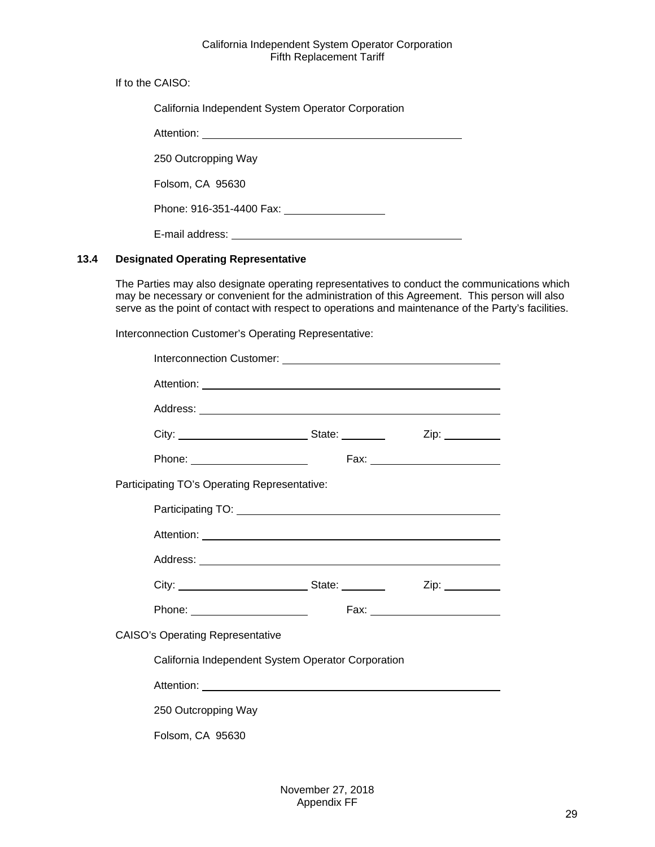If to the CAISO:

| California Independent System Operator Corporation     |  |  |
|--------------------------------------------------------|--|--|
|                                                        |  |  |
| 250 Outcropping Way                                    |  |  |
| Folsom, CA 95630                                       |  |  |
| Phone: 916-351-4400 Fax: 2000 Phone: 916-351-4400 Fax: |  |  |
| E-mail address:                                        |  |  |

# <span id="page-28-0"></span>**13.4 Designated Operating Representative**

The Parties may also designate operating representatives to conduct the communications which may be necessary or convenient for the administration of this Agreement. This person will also serve as the point of contact with respect to operations and maintenance of the Party's facilities.

Interconnection Customer's Operating Representative:

|                                                                                                                                                                                                                                |  | Zip: ___________ |
|--------------------------------------------------------------------------------------------------------------------------------------------------------------------------------------------------------------------------------|--|------------------|
|                                                                                                                                                                                                                                |  |                  |
| Participating TO's Operating Representative:                                                                                                                                                                                   |  |                  |
| Participating TO: Network and Contact the Contact of Contact and Contact and Contact and Contact and Contact and Contact and Contact and Contact and Contact and Contact and Contact and Contact and Contact and Contact and C |  |                  |
|                                                                                                                                                                                                                                |  |                  |
|                                                                                                                                                                                                                                |  |                  |
|                                                                                                                                                                                                                                |  |                  |
| Phone: ________________________                                                                                                                                                                                                |  |                  |
| <b>CAISO's Operating Representative</b>                                                                                                                                                                                        |  |                  |
| California Independent System Operator Corporation                                                                                                                                                                             |  |                  |
|                                                                                                                                                                                                                                |  |                  |
| 250 Outcropping Way                                                                                                                                                                                                            |  |                  |
| Folsom, CA 95630                                                                                                                                                                                                               |  |                  |
|                                                                                                                                                                                                                                |  |                  |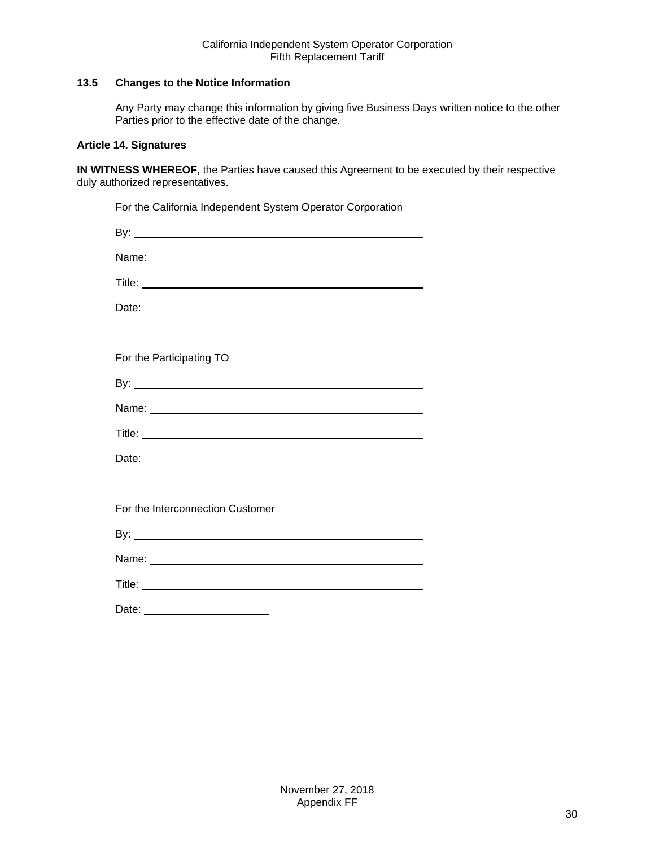# <span id="page-29-0"></span>**13.5 Changes to the Notice Information**

Any Party may change this information by giving five Business Days written notice to the other Parties prior to the effective date of the change.

# <span id="page-29-1"></span>**Article 14. Signatures**

**IN WITNESS WHEREOF,** the Parties have caused this Agreement to be executed by their respective duly authorized representatives.

| For the California Independent System Operator Corporation |
|------------------------------------------------------------|
|                                                            |
|                                                            |
|                                                            |
| Date:                                                      |
|                                                            |
| For the Participating TO                                   |
|                                                            |
|                                                            |
|                                                            |
|                                                            |
|                                                            |
| For the Interconnection Customer                           |
|                                                            |
|                                                            |
|                                                            |
| Date:                                                      |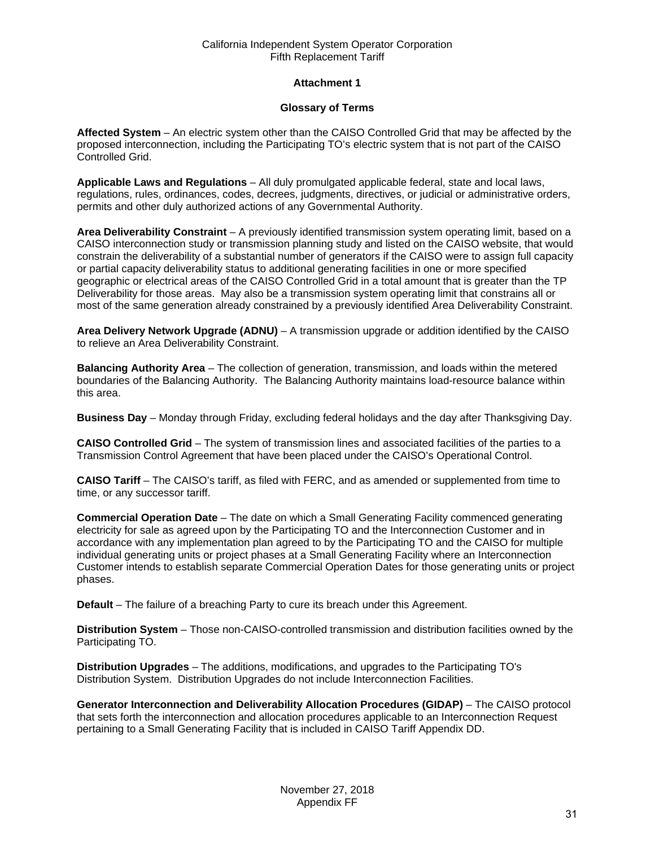# **Attachment 1**

# **Glossary of Terms**

<span id="page-30-0"></span>**Affected System** – An electric system other than the CAISO Controlled Grid that may be affected by the proposed interconnection, including the Participating TO's electric system that is not part of the CAISO Controlled Grid.

**Applicable Laws and Regulations** – All duly promulgated applicable federal, state and local laws, regulations, rules, ordinances, codes, decrees, judgments, directives, or judicial or administrative orders, permits and other duly authorized actions of any Governmental Authority.

**Area Deliverability Constraint** – A previously identified transmission system operating limit, based on a CAISO interconnection study or transmission planning study and listed on the CAISO website, that would constrain the deliverability of a substantial number of generators if the CAISO were to assign full capacity or partial capacity deliverability status to additional generating facilities in one or more specified geographic or electrical areas of the CAISO Controlled Grid in a total amount that is greater than the TP Deliverability for those areas. May also be a transmission system operating limit that constrains all or most of the same generation already constrained by a previously identified Area Deliverability Constraint.

**Area Delivery Network Upgrade (ADNU)** – A transmission upgrade or addition identified by the CAISO to relieve an Area Deliverability Constraint.

**Balancing Authority Area** – The collection of generation, transmission, and loads within the metered boundaries of the Balancing Authority. The Balancing Authority maintains load-resource balance within this area.

**Business Day** – Monday through Friday, excluding federal holidays and the day after Thanksgiving Day.

**CAISO Controlled Grid** – The system of transmission lines and associated facilities of the parties to a Transmission Control Agreement that have been placed under the CAISO's Operational Control.

**CAISO Tariff** – The CAISO's tariff, as filed with FERC, and as amended or supplemented from time to time, or any successor tariff.

**Commercial Operation Date** – The date on which a Small Generating Facility commenced generating electricity for sale as agreed upon by the Participating TO and the Interconnection Customer and in accordance with any implementation plan agreed to by the Participating TO and the CAISO for multiple individual generating units or project phases at a Small Generating Facility where an Interconnection Customer intends to establish separate Commercial Operation Dates for those generating units or project phases.

**Default** – The failure of a breaching Party to cure its breach under this Agreement.

**Distribution System** – Those non-CAISO-controlled transmission and distribution facilities owned by the Participating TO.

**Distribution Upgrades** – The additions, modifications, and upgrades to the Participating TO's Distribution System. Distribution Upgrades do not include Interconnection Facilities.

**Generator Interconnection and Deliverability Allocation Procedures (GIDAP)** – The CAISO protocol that sets forth the interconnection and allocation procedures applicable to an Interconnection Request pertaining to a Small Generating Facility that is included in CAISO Tariff Appendix DD.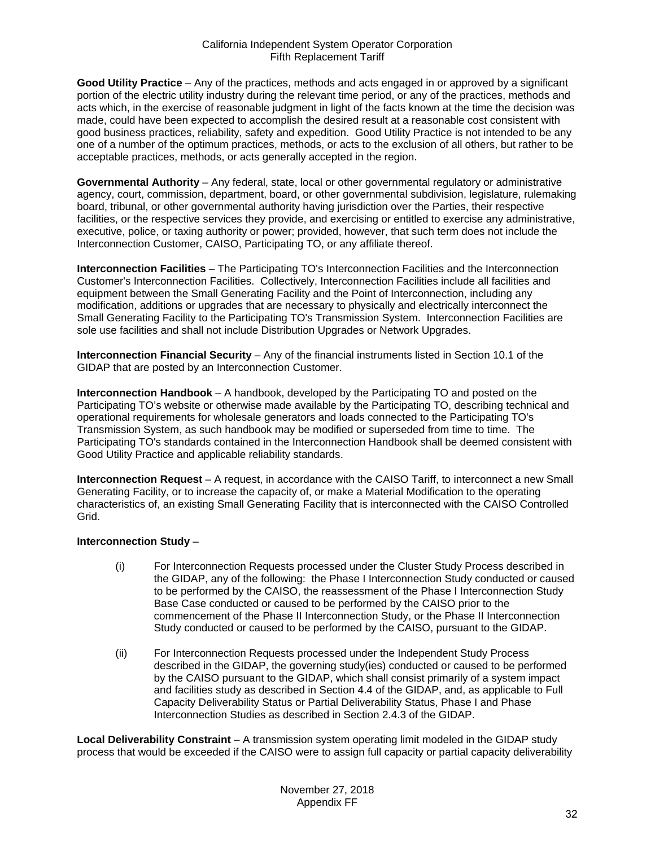**Good Utility Practice** – Any of the practices, methods and acts engaged in or approved by a significant portion of the electric utility industry during the relevant time period, or any of the practices, methods and acts which, in the exercise of reasonable judgment in light of the facts known at the time the decision was made, could have been expected to accomplish the desired result at a reasonable cost consistent with good business practices, reliability, safety and expedition. Good Utility Practice is not intended to be any one of a number of the optimum practices, methods, or acts to the exclusion of all others, but rather to be acceptable practices, methods, or acts generally accepted in the region.

**Governmental Authority** – Any federal, state, local or other governmental regulatory or administrative agency, court, commission, department, board, or other governmental subdivision, legislature, rulemaking board, tribunal, or other governmental authority having jurisdiction over the Parties, their respective facilities, or the respective services they provide, and exercising or entitled to exercise any administrative, executive, police, or taxing authority or power; provided, however, that such term does not include the Interconnection Customer, CAISO, Participating TO, or any affiliate thereof.

**Interconnection Facilities** – The Participating TO's Interconnection Facilities and the Interconnection Customer's Interconnection Facilities. Collectively, Interconnection Facilities include all facilities and equipment between the Small Generating Facility and the Point of Interconnection, including any modification, additions or upgrades that are necessary to physically and electrically interconnect the Small Generating Facility to the Participating TO's Transmission System. Interconnection Facilities are sole use facilities and shall not include Distribution Upgrades or Network Upgrades.

**Interconnection Financial Security** – Any of the financial instruments listed in Section 10.1 of the GIDAP that are posted by an Interconnection Customer.

**Interconnection Handbook** – A handbook, developed by the Participating TO and posted on the Participating TO's website or otherwise made available by the Participating TO, describing technical and operational requirements for wholesale generators and loads connected to the Participating TO's Transmission System, as such handbook may be modified or superseded from time to time. The Participating TO's standards contained in the Interconnection Handbook shall be deemed consistent with Good Utility Practice and applicable reliability standards.

**Interconnection Request** – A request, in accordance with the CAISO Tariff, to interconnect a new Small Generating Facility, or to increase the capacity of, or make a Material Modification to the operating characteristics of, an existing Small Generating Facility that is interconnected with the CAISO Controlled Grid.

# **Interconnection Study** –

- (i) For Interconnection Requests processed under the Cluster Study Process described in the GIDAP, any of the following: the Phase I Interconnection Study conducted or caused to be performed by the CAISO, the reassessment of the Phase I Interconnection Study Base Case conducted or caused to be performed by the CAISO prior to the commencement of the Phase II Interconnection Study, or the Phase II Interconnection Study conducted or caused to be performed by the CAISO, pursuant to the GIDAP.
- (ii) For Interconnection Requests processed under the Independent Study Process described in the GIDAP, the governing study(ies) conducted or caused to be performed by the CAISO pursuant to the GIDAP, which shall consist primarily of a system impact and facilities study as described in Section 4.4 of the GIDAP, and, as applicable to Full Capacity Deliverability Status or Partial Deliverability Status, Phase I and Phase Interconnection Studies as described in Section 2.4.3 of the GIDAP.

**Local Deliverability Constraint** – A transmission system operating limit modeled in the GIDAP study process that would be exceeded if the CAISO were to assign full capacity or partial capacity deliverability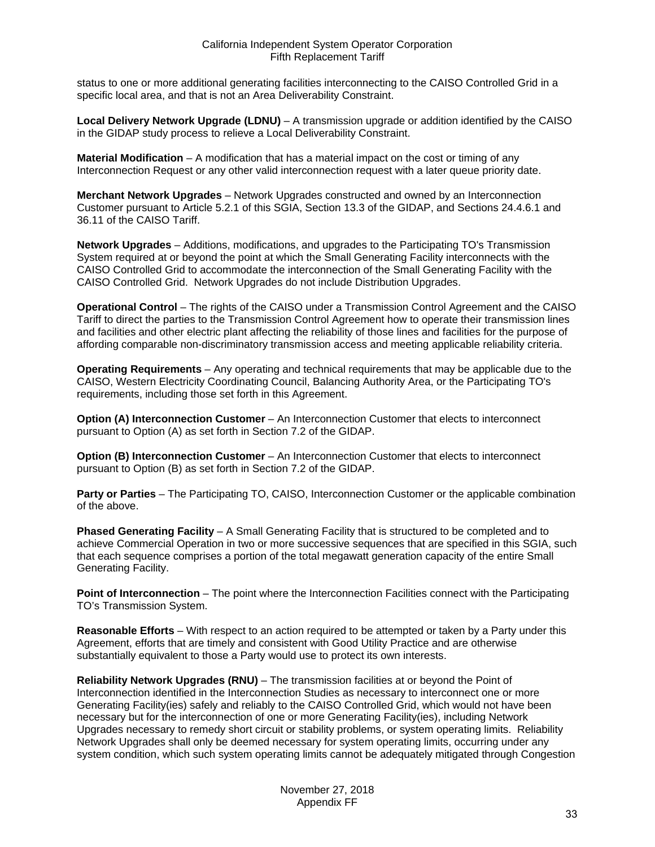status to one or more additional generating facilities interconnecting to the CAISO Controlled Grid in a specific local area, and that is not an Area Deliverability Constraint.

**Local Delivery Network Upgrade (LDNU)** – A transmission upgrade or addition identified by the CAISO in the GIDAP study process to relieve a Local Deliverability Constraint.

**Material Modification** – A modification that has a material impact on the cost or timing of any Interconnection Request or any other valid interconnection request with a later queue priority date.

**Merchant Network Upgrades** – Network Upgrades constructed and owned by an Interconnection Customer pursuant to Article 5.2.1 of this SGIA, Section 13.3 of the GIDAP, and Sections 24.4.6.1 and 36.11 of the CAISO Tariff.

**Network Upgrades** – Additions, modifications, and upgrades to the Participating TO's Transmission System required at or beyond the point at which the Small Generating Facility interconnects with the CAISO Controlled Grid to accommodate the interconnection of the Small Generating Facility with the CAISO Controlled Grid. Network Upgrades do not include Distribution Upgrades.

**Operational Control** – The rights of the CAISO under a Transmission Control Agreement and the CAISO Tariff to direct the parties to the Transmission Control Agreement how to operate their transmission lines and facilities and other electric plant affecting the reliability of those lines and facilities for the purpose of affording comparable non-discriminatory transmission access and meeting applicable reliability criteria.

**Operating Requirements** – Any operating and technical requirements that may be applicable due to the CAISO, Western Electricity Coordinating Council, Balancing Authority Area, or the Participating TO's requirements, including those set forth in this Agreement.

**Option (A) Interconnection Customer** – An Interconnection Customer that elects to interconnect pursuant to Option (A) as set forth in Section 7.2 of the GIDAP.

**Option (B) Interconnection Customer** – An Interconnection Customer that elects to interconnect pursuant to Option (B) as set forth in Section 7.2 of the GIDAP.

**Party or Parties** – The Participating TO, CAISO, Interconnection Customer or the applicable combination of the above.

**Phased Generating Facility** – A Small Generating Facility that is structured to be completed and to achieve Commercial Operation in two or more successive sequences that are specified in this SGIA, such that each sequence comprises a portion of the total megawatt generation capacity of the entire Small Generating Facility.

**Point of Interconnection** – The point where the Interconnection Facilities connect with the Participating TO's Transmission System.

**Reasonable Efforts** – With respect to an action required to be attempted or taken by a Party under this Agreement, efforts that are timely and consistent with Good Utility Practice and are otherwise substantially equivalent to those a Party would use to protect its own interests.

**Reliability Network Upgrades (RNU)** – The transmission facilities at or beyond the Point of Interconnection identified in the Interconnection Studies as necessary to interconnect one or more Generating Facility(ies) safely and reliably to the CAISO Controlled Grid, which would not have been necessary but for the interconnection of one or more Generating Facility(ies), including Network Upgrades necessary to remedy short circuit or stability problems, or system operating limits. Reliability Network Upgrades shall only be deemed necessary for system operating limits, occurring under any system condition, which such system operating limits cannot be adequately mitigated through Congestion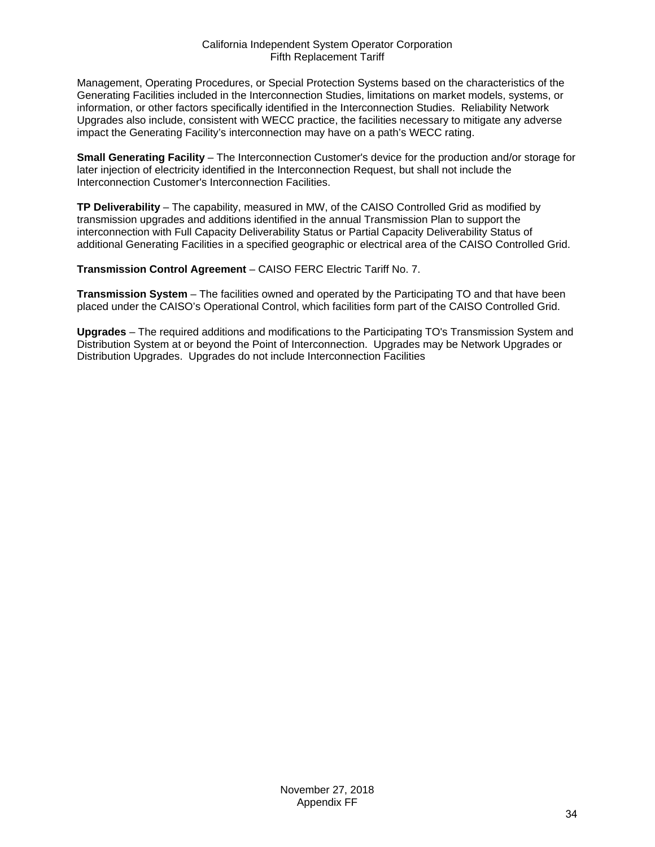Management, Operating Procedures, or Special Protection Systems based on the characteristics of the Generating Facilities included in the Interconnection Studies, limitations on market models, systems, or information, or other factors specifically identified in the Interconnection Studies. Reliability Network Upgrades also include, consistent with WECC practice, the facilities necessary to mitigate any adverse impact the Generating Facility's interconnection may have on a path's WECC rating.

**Small Generating Facility** – The Interconnection Customer's device for the production and/or storage for later injection of electricity identified in the Interconnection Request, but shall not include the Interconnection Customer's Interconnection Facilities.

**TP Deliverability** – The capability, measured in MW, of the CAISO Controlled Grid as modified by transmission upgrades and additions identified in the annual Transmission Plan to support the interconnection with Full Capacity Deliverability Status or Partial Capacity Deliverability Status of additional Generating Facilities in a specified geographic or electrical area of the CAISO Controlled Grid.

**Transmission Control Agreement** – CAISO FERC Electric Tariff No. 7.

**Transmission System** – The facilities owned and operated by the Participating TO and that have been placed under the CAISO's Operational Control, which facilities form part of the CAISO Controlled Grid.

**Upgrades** – The required additions and modifications to the Participating TO's Transmission System and Distribution System at or beyond the Point of Interconnection. Upgrades may be Network Upgrades or Distribution Upgrades. Upgrades do not include Interconnection Facilities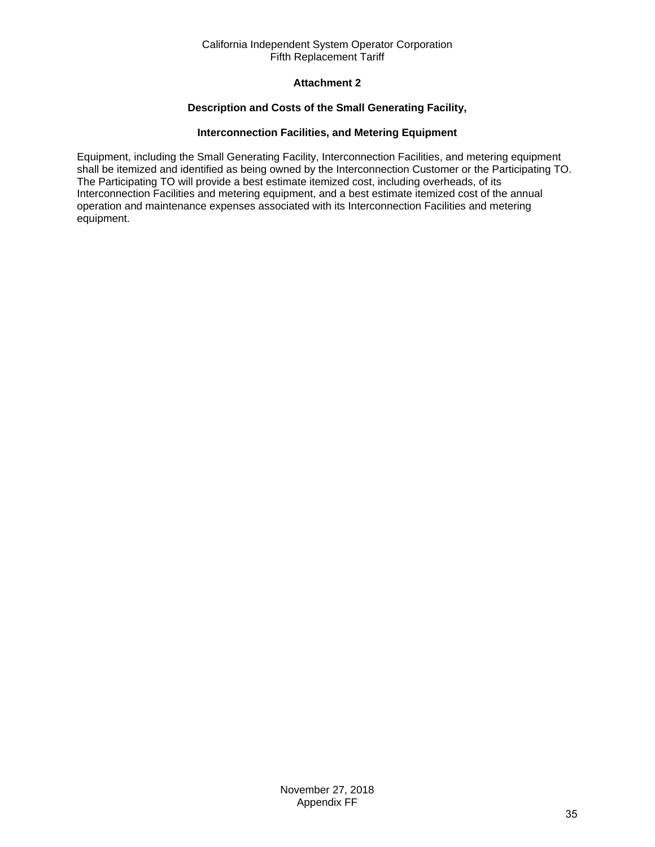# **Attachment 2**

# **Description and Costs of the Small Generating Facility,**

## **Interconnection Facilities, and Metering Equipment**

<span id="page-34-0"></span>Equipment, including the Small Generating Facility, Interconnection Facilities, and metering equipment shall be itemized and identified as being owned by the Interconnection Customer or the Participating TO. The Participating TO will provide a best estimate itemized cost, including overheads, of its Interconnection Facilities and metering equipment, and a best estimate itemized cost of the annual operation and maintenance expenses associated with its Interconnection Facilities and metering equipment.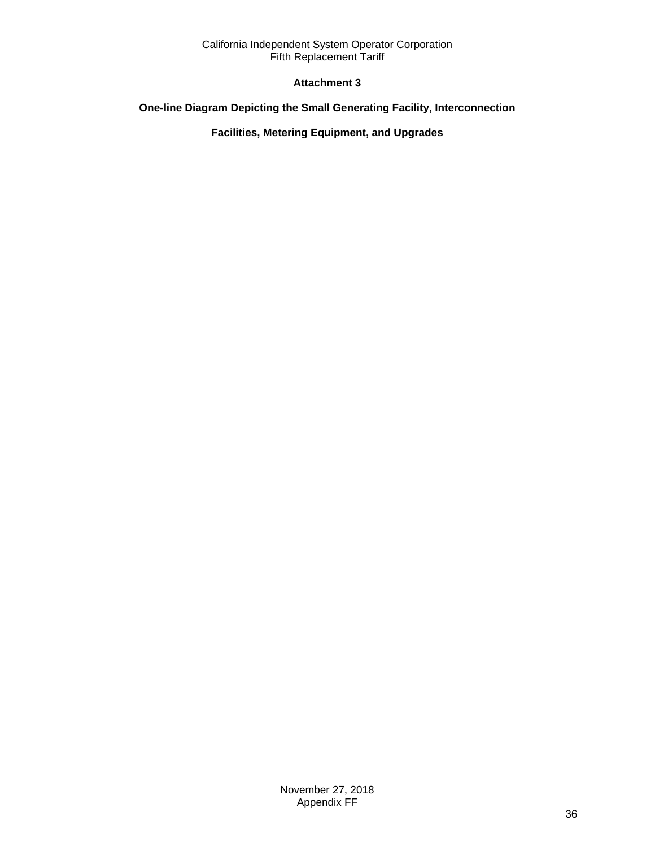# **Attachment 3**

# <span id="page-35-0"></span>**One-line Diagram Depicting the Small Generating Facility, Interconnection**

# **Facilities, Metering Equipment, and Upgrades**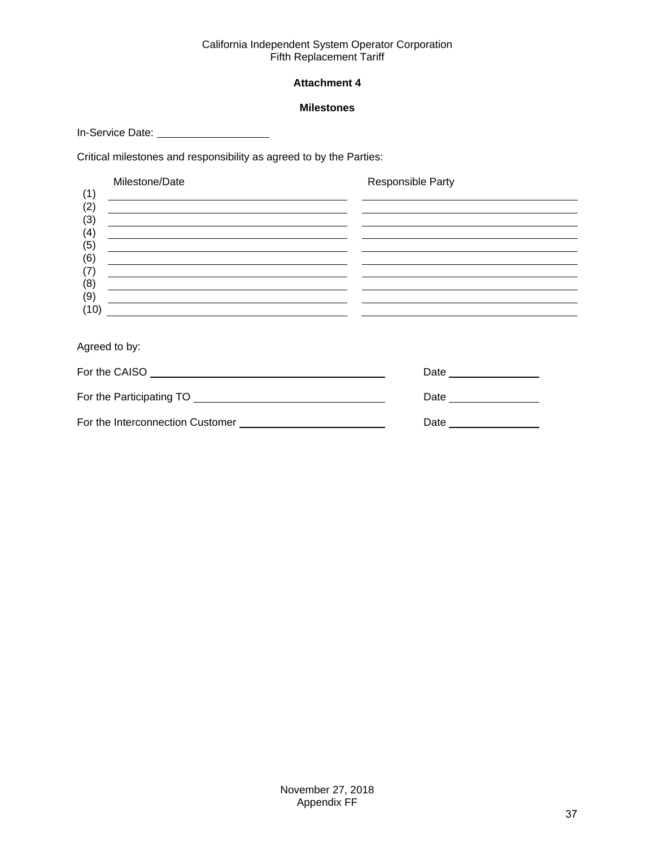# **Attachment 4**

#### **Milestones**

<span id="page-36-0"></span>In-Service Date: \_\_\_\_\_\_\_\_\_\_\_\_\_\_\_\_\_\_\_\_\_\_\_

Critical milestones and responsibility as agreed to by the Parties:

|            | Milestone/Date                                       | Responsible Party |
|------------|------------------------------------------------------|-------------------|
| (1)<br>(2) |                                                      |                   |
| (3)        |                                                      |                   |
| (4)        | <u> 1989 - Johann Barn, fransk politik (f. 1989)</u> |                   |
| (5)<br>(6) |                                                      |                   |
| (7)        |                                                      |                   |
| (8)        |                                                      |                   |
| (9)        |                                                      |                   |
| (10)       |                                                      |                   |
|            |                                                      |                   |

Agreed to by:

| For the CAISO                    | Date |
|----------------------------------|------|
| For the Participating TO         | Date |
| For the Interconnection Customer | Date |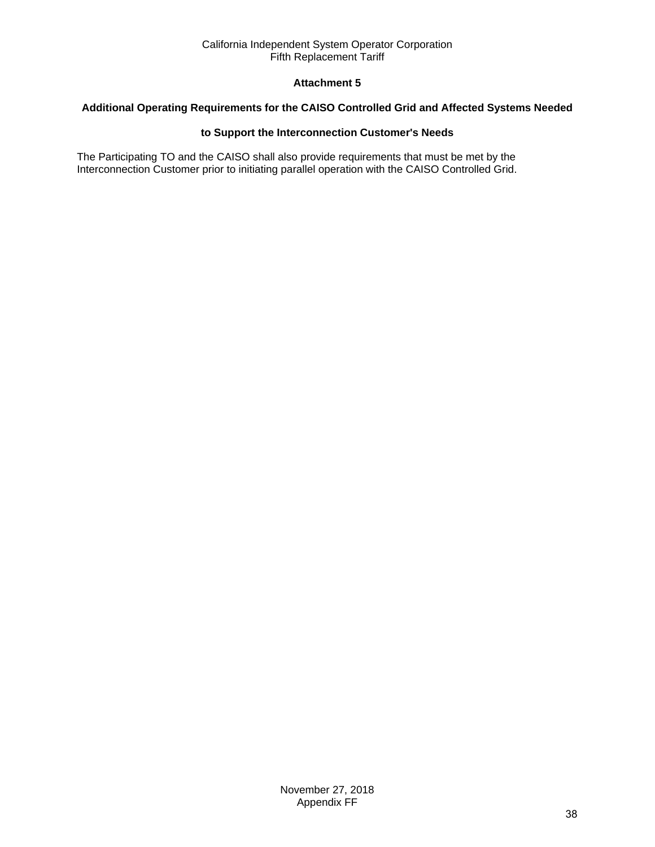# **Attachment 5**

# <span id="page-37-0"></span>**Additional Operating Requirements for the CAISO Controlled Grid and Affected Systems Needed**

# **to Support the Interconnection Customer's Needs**

The Participating TO and the CAISO shall also provide requirements that must be met by the Interconnection Customer prior to initiating parallel operation with the CAISO Controlled Grid.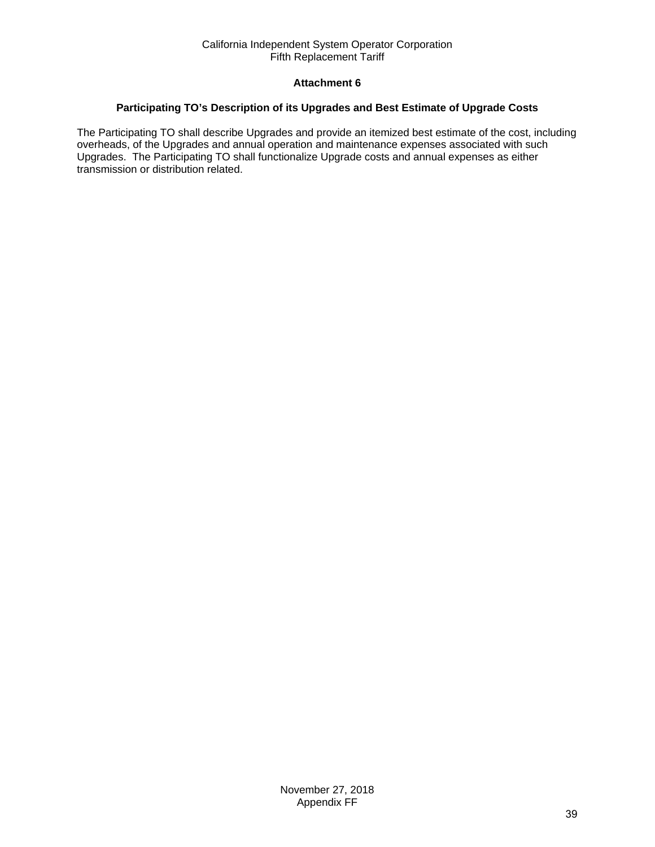# **Attachment 6**

## <span id="page-38-0"></span>**Participating TO's Description of its Upgrades and Best Estimate of Upgrade Costs**

The Participating TO shall describe Upgrades and provide an itemized best estimate of the cost, including overheads, of the Upgrades and annual operation and maintenance expenses associated with such Upgrades. The Participating TO shall functionalize Upgrade costs and annual expenses as either transmission or distribution related.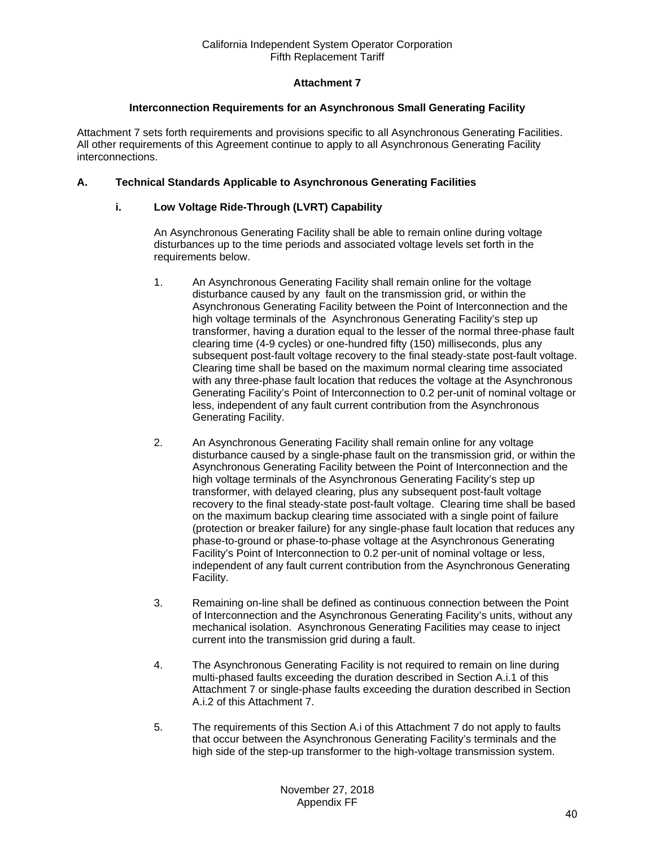# **Attachment 7**

#### **Interconnection Requirements for an Asynchronous Small Generating Facility**

<span id="page-39-0"></span>Attachment 7 sets forth requirements and provisions specific to all Asynchronous Generating Facilities. All other requirements of this Agreement continue to apply to all Asynchronous Generating Facility interconnections.

## **A. Technical Standards Applicable to Asynchronous Generating Facilities**

#### **i. Low Voltage Ride-Through (LVRT) Capability**

An Asynchronous Generating Facility shall be able to remain online during voltage disturbances up to the time periods and associated voltage levels set forth in the requirements below.

- 1. An Asynchronous Generating Facility shall remain online for the voltage disturbance caused by any fault on the transmission grid, or within the Asynchronous Generating Facility between the Point of Interconnection and the high voltage terminals of the Asynchronous Generating Facility's step up transformer, having a duration equal to the lesser of the normal three-phase fault clearing time (4-9 cycles) or one-hundred fifty (150) milliseconds, plus any subsequent post-fault voltage recovery to the final steady-state post-fault voltage. Clearing time shall be based on the maximum normal clearing time associated with any three-phase fault location that reduces the voltage at the Asynchronous Generating Facility's Point of Interconnection to 0.2 per-unit of nominal voltage or less, independent of any fault current contribution from the Asynchronous Generating Facility.
- 2. An Asynchronous Generating Facility shall remain online for any voltage disturbance caused by a single-phase fault on the transmission grid, or within the Asynchronous Generating Facility between the Point of Interconnection and the high voltage terminals of the Asynchronous Generating Facility's step up transformer, with delayed clearing, plus any subsequent post-fault voltage recovery to the final steady-state post-fault voltage. Clearing time shall be based on the maximum backup clearing time associated with a single point of failure (protection or breaker failure) for any single-phase fault location that reduces any phase-to-ground or phase-to-phase voltage at the Asynchronous Generating Facility's Point of Interconnection to 0.2 per-unit of nominal voltage or less, independent of any fault current contribution from the Asynchronous Generating Facility.
- 3. Remaining on-line shall be defined as continuous connection between the Point of Interconnection and the Asynchronous Generating Facility's units, without any mechanical isolation. Asynchronous Generating Facilities may cease to inject current into the transmission grid during a fault.
- 4. The Asynchronous Generating Facility is not required to remain on line during multi-phased faults exceeding the duration described in Section A.i.1 of this Attachment 7 or single-phase faults exceeding the duration described in Section A.i.2 of this Attachment 7.
- 5. The requirements of this Section A.i of this Attachment 7 do not apply to faults that occur between the Asynchronous Generating Facility's terminals and the high side of the step-up transformer to the high-voltage transmission system.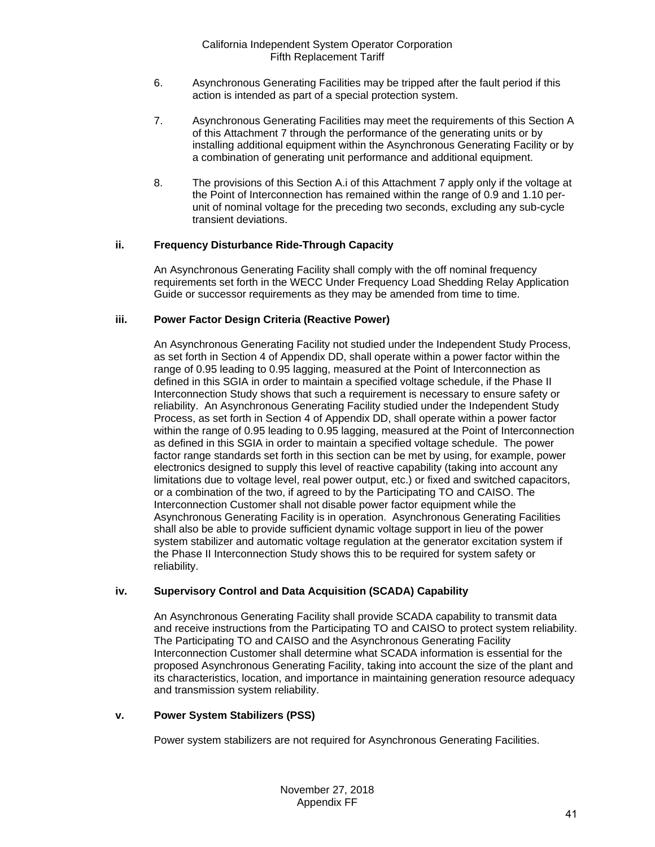- 6. Asynchronous Generating Facilities may be tripped after the fault period if this action is intended as part of a special protection system.
- 7. Asynchronous Generating Facilities may meet the requirements of this Section A of this Attachment 7 through the performance of the generating units or by installing additional equipment within the Asynchronous Generating Facility or by a combination of generating unit performance and additional equipment.
- 8. The provisions of this Section A.i of this Attachment 7 apply only if the voltage at the Point of Interconnection has remained within the range of 0.9 and 1.10 perunit of nominal voltage for the preceding two seconds, excluding any sub-cycle transient deviations.

# **ii. Frequency Disturbance Ride-Through Capacity**

An Asynchronous Generating Facility shall comply with the off nominal frequency requirements set forth in the WECC Under Frequency Load Shedding Relay Application Guide or successor requirements as they may be amended from time to time.

# **iii. Power Factor Design Criteria (Reactive Power)**

An Asynchronous Generating Facility not studied under the Independent Study Process, as set forth in Section 4 of Appendix DD, shall operate within a power factor within the range of 0.95 leading to 0.95 lagging, measured at the Point of Interconnection as defined in this SGIA in order to maintain a specified voltage schedule, if the Phase II Interconnection Study shows that such a requirement is necessary to ensure safety or reliability. An Asynchronous Generating Facility studied under the Independent Study Process, as set forth in Section 4 of Appendix DD, shall operate within a power factor within the range of 0.95 leading to 0.95 lagging, measured at the Point of Interconnection as defined in this SGIA in order to maintain a specified voltage schedule. The power factor range standards set forth in this section can be met by using, for example, power electronics designed to supply this level of reactive capability (taking into account any limitations due to voltage level, real power output, etc.) or fixed and switched capacitors, or a combination of the two, if agreed to by the Participating TO and CAISO. The Interconnection Customer shall not disable power factor equipment while the Asynchronous Generating Facility is in operation. Asynchronous Generating Facilities shall also be able to provide sufficient dynamic voltage support in lieu of the power system stabilizer and automatic voltage regulation at the generator excitation system if the Phase II Interconnection Study shows this to be required for system safety or reliability.

# **iv. Supervisory Control and Data Acquisition (SCADA) Capability**

An Asynchronous Generating Facility shall provide SCADA capability to transmit data and receive instructions from the Participating TO and CAISO to protect system reliability. The Participating TO and CAISO and the Asynchronous Generating Facility Interconnection Customer shall determine what SCADA information is essential for the proposed Asynchronous Generating Facility, taking into account the size of the plant and its characteristics, location, and importance in maintaining generation resource adequacy and transmission system reliability.

# **v. Power System Stabilizers (PSS)**

Power system stabilizers are not required for Asynchronous Generating Facilities.